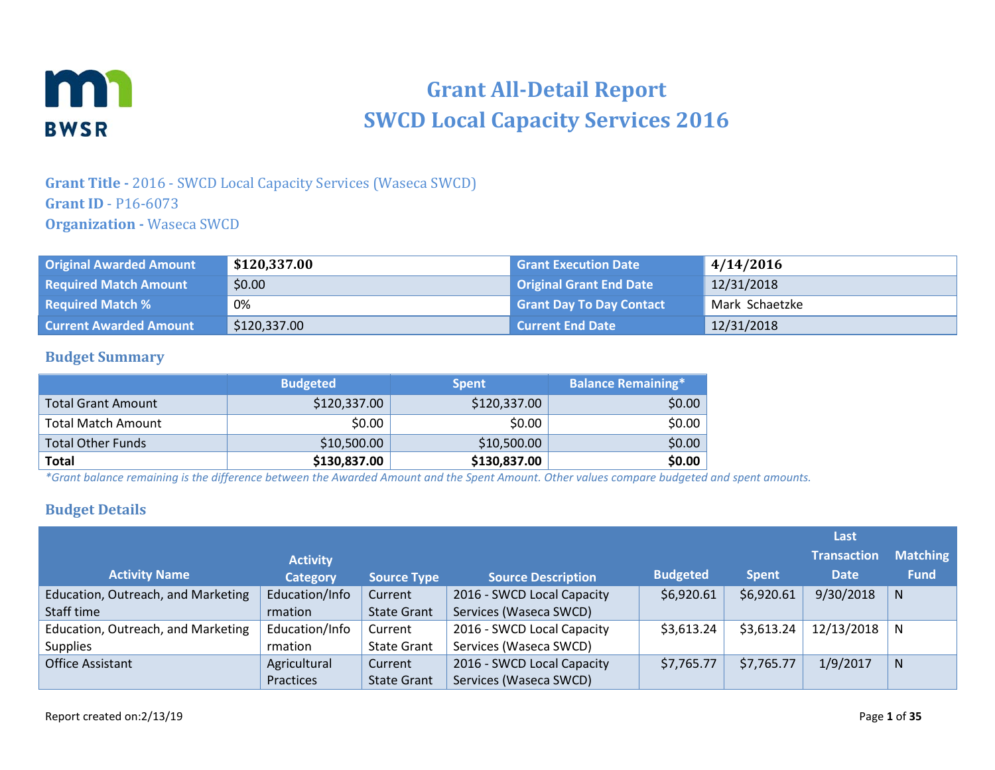

# **Grant All-Detail Report SWCD Local Capacity Services 2016**

## **Grant Title -** 2016 - SWCD Local Capacity Services (Waseca SWCD) **Grant ID** - P16-6073 **Organization -** Waseca SWCD

| <b>Original Awarded Amount</b> | \$120,337.00 | <b>Grant Execution Date</b>     | 4/14/2016      |
|--------------------------------|--------------|---------------------------------|----------------|
| <b>Required Match Amount</b>   | \$0.00       | <b>Original Grant End Date</b>  | 12/31/2018     |
| <b>Required Match %</b>        | 0%           | <b>Grant Day To Day Contact</b> | Mark Schaetzke |
| <b>Current Awarded Amount</b>  | \$120,337.00 | l Current End Date              | 12/31/2018     |

### **Budget Summary**

|                           | <b>Budgeted</b> | <b>Spent</b> | <b>Balance Remaining*1</b> |
|---------------------------|-----------------|--------------|----------------------------|
| <b>Total Grant Amount</b> | \$120,337.00    | \$120,337.00 | \$0.00                     |
| <b>Total Match Amount</b> | \$0.00          | \$0.00       | \$0.00                     |
| <b>Total Other Funds</b>  | \$10,500.00     | \$10,500.00  | \$0.00                     |
| Total                     | \$130,837.00    | \$130,837.00 | \$0.00                     |

*\*Grant balance remaining is the difference between the Awarded Amount and the Spent Amount. Other values compare budgeted and spent amounts.*

### **Budget Details**

|                                    |                 |                    |                            |                 |              | Last               |                 |
|------------------------------------|-----------------|--------------------|----------------------------|-----------------|--------------|--------------------|-----------------|
|                                    | <b>Activity</b> |                    |                            |                 |              | <b>Transaction</b> | <b>Matching</b> |
| <b>Activity Name</b>               | <b>Category</b> | <b>Source Type</b> | <b>Source Description</b>  | <b>Budgeted</b> | <b>Spent</b> | <b>Date</b>        | <b>Fund</b>     |
| Education, Outreach, and Marketing | Education/Info  | Current            | 2016 - SWCD Local Capacity | \$6,920.61      | \$6,920.61   | 9/30/2018          | N.              |
| Staff time                         | rmation         | <b>State Grant</b> | Services (Waseca SWCD)     |                 |              |                    |                 |
| Education, Outreach, and Marketing | Education/Info  | Current            | 2016 - SWCD Local Capacity | \$3,613.24      | \$3,613.24   | 12/13/2018         | N               |
| <b>Supplies</b>                    | rmation         | <b>State Grant</b> | Services (Waseca SWCD)     |                 |              |                    |                 |
| <b>Office Assistant</b>            | Agricultural    | Current            | 2016 - SWCD Local Capacity | \$7,765.77      | \$7,765.77   | 1/9/2017           | N.              |
|                                    | Practices       | <b>State Grant</b> | Services (Waseca SWCD)     |                 |              |                    |                 |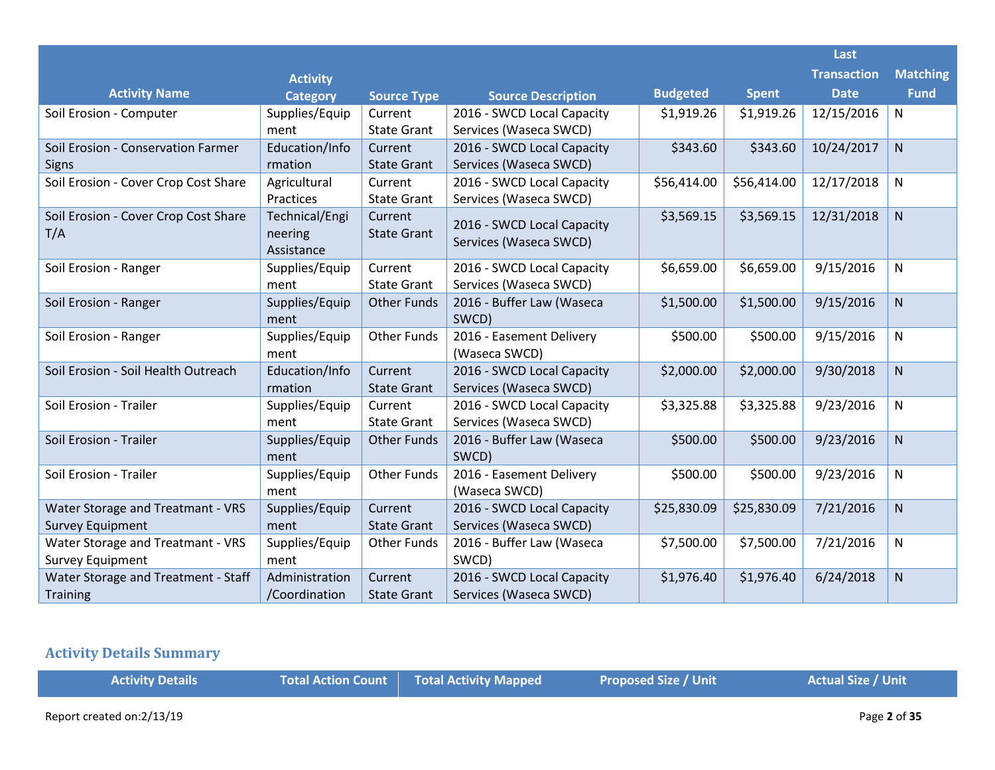|                                      |                       |                    |                            |                 |              | Last               |                 |
|--------------------------------------|-----------------------|--------------------|----------------------------|-----------------|--------------|--------------------|-----------------|
|                                      | <b>Activity</b>       |                    |                            |                 |              | <b>Transaction</b> | <b>Matching</b> |
| <b>Activity Name</b>                 | <b>Category</b>       | <b>Source Type</b> | <b>Source Description</b>  | <b>Budgeted</b> | <b>Spent</b> | <b>Date</b>        | <b>Fund</b>     |
| Soil Erosion - Computer              | Supplies/Equip        | Current            | 2016 - SWCD Local Capacity | \$1,919.26      | \$1,919.26   | 12/15/2016         | N               |
|                                      | ment                  | <b>State Grant</b> | Services (Waseca SWCD)     |                 |              |                    |                 |
| Soil Erosion - Conservation Farmer   | Education/Info        | Current            | 2016 - SWCD Local Capacity | \$343.60        | \$343.60     | 10/24/2017         | N               |
| <b>Signs</b>                         | rmation               | <b>State Grant</b> | Services (Waseca SWCD)     |                 |              |                    |                 |
| Soil Erosion - Cover Crop Cost Share | Agricultural          | Current            | 2016 - SWCD Local Capacity | \$56,414.00     | \$56,414.00  | 12/17/2018         | N               |
|                                      | Practices             | <b>State Grant</b> | Services (Waseca SWCD)     |                 |              |                    |                 |
| Soil Erosion - Cover Crop Cost Share | Technical/Engi        | Current            | 2016 - SWCD Local Capacity | \$3,569.15      | \$3,569.15   | 12/31/2018         | N               |
| T/A                                  | neering<br>Assistance | <b>State Grant</b> | Services (Waseca SWCD)     |                 |              |                    |                 |
| Soil Erosion - Ranger                | Supplies/Equip        | Current            | 2016 - SWCD Local Capacity | \$6,659.00      | \$6,659.00   | 9/15/2016          | N               |
|                                      | ment                  | <b>State Grant</b> | Services (Waseca SWCD)     |                 |              |                    |                 |
| Soil Erosion - Ranger                | Supplies/Equip        | <b>Other Funds</b> | 2016 - Buffer Law (Waseca  | \$1,500.00      | \$1,500.00   | 9/15/2016          | N               |
|                                      | ment                  |                    | SWCD)                      |                 |              |                    |                 |
| Soil Erosion - Ranger                | Supplies/Equip        | <b>Other Funds</b> | 2016 - Easement Delivery   | \$500.00        | \$500.00     | 9/15/2016          | N               |
|                                      | ment                  |                    | (Waseca SWCD)              |                 |              |                    |                 |
| Soil Erosion - Soil Health Outreach  | Education/Info        | Current            | 2016 - SWCD Local Capacity | \$2,000.00      | \$2,000.00   | 9/30/2018          | N               |
|                                      | rmation               | <b>State Grant</b> | Services (Waseca SWCD)     |                 |              |                    |                 |
| Soil Erosion - Trailer               | Supplies/Equip        | Current            | 2016 - SWCD Local Capacity | \$3,325.88      | \$3,325.88   | 9/23/2016          | N               |
|                                      | ment                  | <b>State Grant</b> | Services (Waseca SWCD)     |                 |              |                    |                 |
| Soil Erosion - Trailer               | Supplies/Equip        | <b>Other Funds</b> | 2016 - Buffer Law (Waseca  | \$500.00        | \$500.00     | 9/23/2016          | N               |
|                                      | ment                  |                    | SWCD)                      |                 |              |                    |                 |
| Soil Erosion - Trailer               | Supplies/Equip        | <b>Other Funds</b> | 2016 - Easement Delivery   | \$500.00        | \$500.00     | 9/23/2016          | N               |
|                                      | ment                  |                    | (Waseca SWCD)              |                 |              |                    |                 |
| Water Storage and Treatmant - VRS    | Supplies/Equip        | Current            | 2016 - SWCD Local Capacity | \$25,830.09     | \$25,830.09  | 7/21/2016          | N               |
| <b>Survey Equipment</b>              | ment                  | <b>State Grant</b> | Services (Waseca SWCD)     |                 |              |                    |                 |
| Water Storage and Treatmant - VRS    | Supplies/Equip        | <b>Other Funds</b> | 2016 - Buffer Law (Waseca  | \$7,500.00      | \$7,500.00   | 7/21/2016          | N               |
| <b>Survey Equipment</b>              | ment                  |                    | SWCD)                      |                 |              |                    |                 |
| Water Storage and Treatment - Staff  | Administration        | Current            | 2016 - SWCD Local Capacity | \$1,976.40      | \$1,976.40   | 6/24/2018          | N               |
| Training                             | /Coordination         | <b>State Grant</b> | Services (Waseca SWCD)     |                 |              |                    |                 |

# **Activity Details Summary**

| <b>Activity Details</b>   | Total Action Count Total Activity Mapped | <b>Proposed Size / Unit</b> | Actual Size / Unit |
|---------------------------|------------------------------------------|-----------------------------|--------------------|
| Report created on:2/13/19 |                                          |                             | Page 2 of 35       |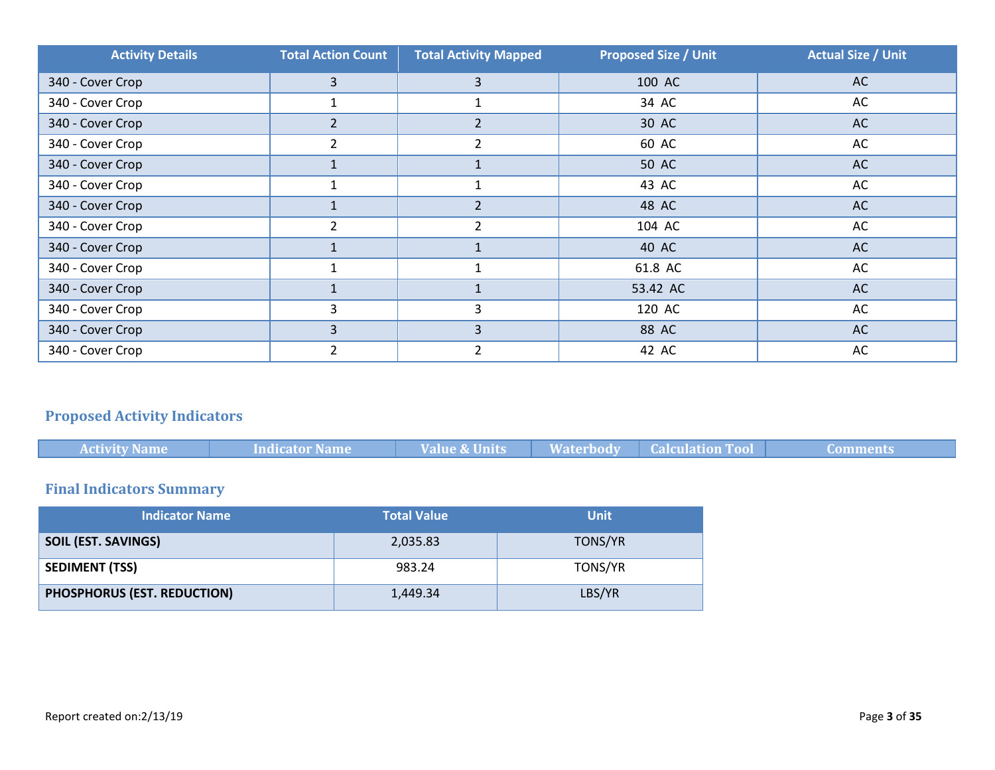| <b>Activity Details</b> | <b>Total Action Count</b> | <b>Total Activity Mapped</b> | <b>Proposed Size / Unit</b> | <b>Actual Size / Unit</b> |
|-------------------------|---------------------------|------------------------------|-----------------------------|---------------------------|
| 340 - Cover Crop        | 3                         | 3                            | 100 AC                      | <b>AC</b>                 |
| 340 - Cover Crop        |                           |                              | 34 AC                       | AC                        |
| 340 - Cover Crop        | $\overline{2}$            | $\overline{2}$               | 30 AC                       | <b>AC</b>                 |
| 340 - Cover Crop        |                           | 2                            | 60 AC                       | AC                        |
| 340 - Cover Crop        |                           | $\mathbf{1}$                 | 50 AC                       | AC                        |
| 340 - Cover Crop        |                           |                              | 43 AC                       | AC                        |
| 340 - Cover Crop        |                           | $\overline{2}$               | 48 AC                       | AC                        |
| 340 - Cover Crop        |                           | $\overline{2}$               | 104 AC                      | AC                        |
| 340 - Cover Crop        |                           |                              | 40 AC                       | <b>AC</b>                 |
| 340 - Cover Crop        |                           |                              | 61.8 AC                     | AC                        |
| 340 - Cover Crop        |                           |                              | 53.42 AC                    | AC                        |
| 340 - Cover Crop        | 3                         | 3                            | 120 AC                      | AC                        |
| 340 - Cover Crop        | 3                         | 3                            | 88 AC                       | AC                        |
| 340 - Cover Crop        |                           | 2                            | 42 AC                       | AC                        |

# **Proposed Activity Indicators**

|  | <b>Activity Name</b> | Indicator Name | <b>Value &amp; Units</b> |  | <b>Waterbody Calculation Tool</b> | - Comments |
|--|----------------------|----------------|--------------------------|--|-----------------------------------|------------|
|--|----------------------|----------------|--------------------------|--|-----------------------------------|------------|

# **Final Indicators Summary**

| <b>Indicator Name</b>       | <b>Total Value</b> | <b>Unit</b> |
|-----------------------------|--------------------|-------------|
| <b>SOIL (EST. SAVINGS)</b>  | 2,035.83           | TONS/YR     |
| <b>SEDIMENT (TSS)</b>       | 983.24             | TONS/YR     |
| PHOSPHORUS (EST. REDUCTION) | 1,449.34           | LBS/YR      |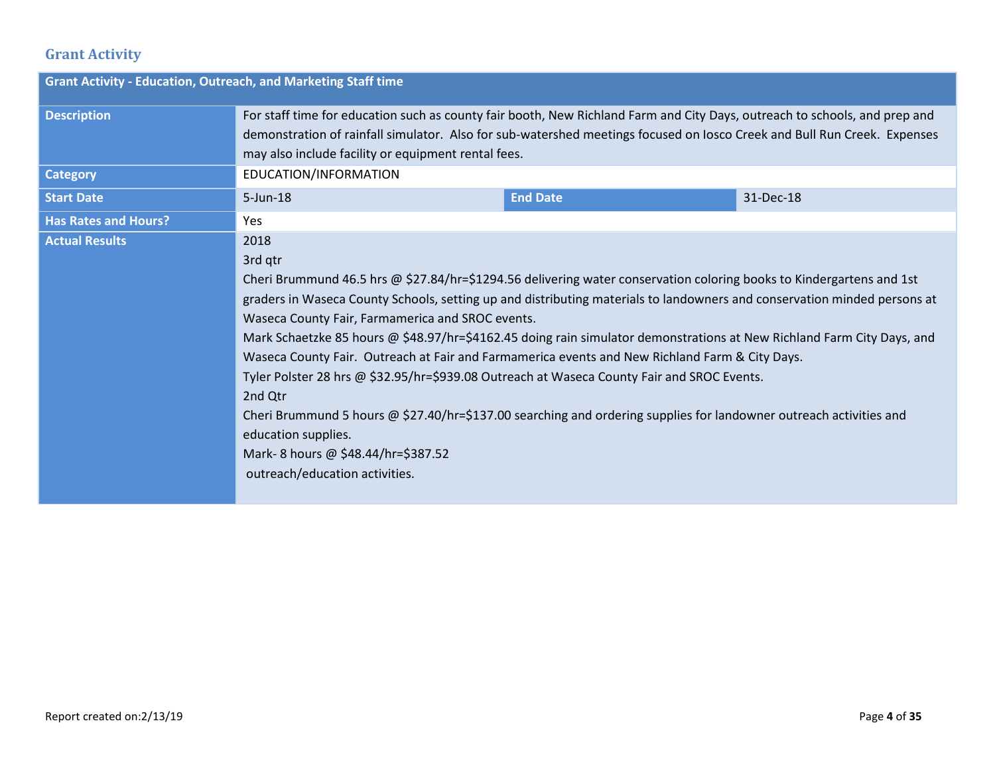### **Grant Activity**

| <b>Grant Activity - Education, Outreach, and Marketing Staff time</b> |                                                                                                                                                                                                                                                                                                                                                                                                                                                                                                                                                                                                                                                                                                                                                                                                                                                                                   |                 |           |  |  |
|-----------------------------------------------------------------------|-----------------------------------------------------------------------------------------------------------------------------------------------------------------------------------------------------------------------------------------------------------------------------------------------------------------------------------------------------------------------------------------------------------------------------------------------------------------------------------------------------------------------------------------------------------------------------------------------------------------------------------------------------------------------------------------------------------------------------------------------------------------------------------------------------------------------------------------------------------------------------------|-----------------|-----------|--|--|
| <b>Description</b>                                                    | For staff time for education such as county fair booth, New Richland Farm and City Days, outreach to schools, and prep and<br>demonstration of rainfall simulator. Also for sub-watershed meetings focused on losco Creek and Bull Run Creek. Expenses<br>may also include facility or equipment rental fees.                                                                                                                                                                                                                                                                                                                                                                                                                                                                                                                                                                     |                 |           |  |  |
| <b>Category</b>                                                       | EDUCATION/INFORMATION                                                                                                                                                                                                                                                                                                                                                                                                                                                                                                                                                                                                                                                                                                                                                                                                                                                             |                 |           |  |  |
| <b>Start Date</b>                                                     | $5 - Jun-18$                                                                                                                                                                                                                                                                                                                                                                                                                                                                                                                                                                                                                                                                                                                                                                                                                                                                      | <b>End Date</b> | 31-Dec-18 |  |  |
| <b>Has Rates and Hours?</b>                                           | Yes.                                                                                                                                                                                                                                                                                                                                                                                                                                                                                                                                                                                                                                                                                                                                                                                                                                                                              |                 |           |  |  |
| <b>Actual Results</b>                                                 | 2018<br>3rd qtr<br>Cheri Brummund 46.5 hrs @ \$27.84/hr=\$1294.56 delivering water conservation coloring books to Kindergartens and 1st<br>graders in Waseca County Schools, setting up and distributing materials to landowners and conservation minded persons at<br>Waseca County Fair, Farmamerica and SROC events.<br>Mark Schaetzke 85 hours @ \$48.97/hr=\$4162.45 doing rain simulator demonstrations at New Richland Farm City Days, and<br>Waseca County Fair. Outreach at Fair and Farmamerica events and New Richland Farm & City Days.<br>Tyler Polster 28 hrs @ \$32.95/hr=\$939.08 Outreach at Waseca County Fair and SROC Events.<br>2nd Qtr<br>Cheri Brummund 5 hours @ \$27.40/hr=\$137.00 searching and ordering supplies for landowner outreach activities and<br>education supplies.<br>Mark-8 hours @ \$48.44/hr=\$387.52<br>outreach/education activities. |                 |           |  |  |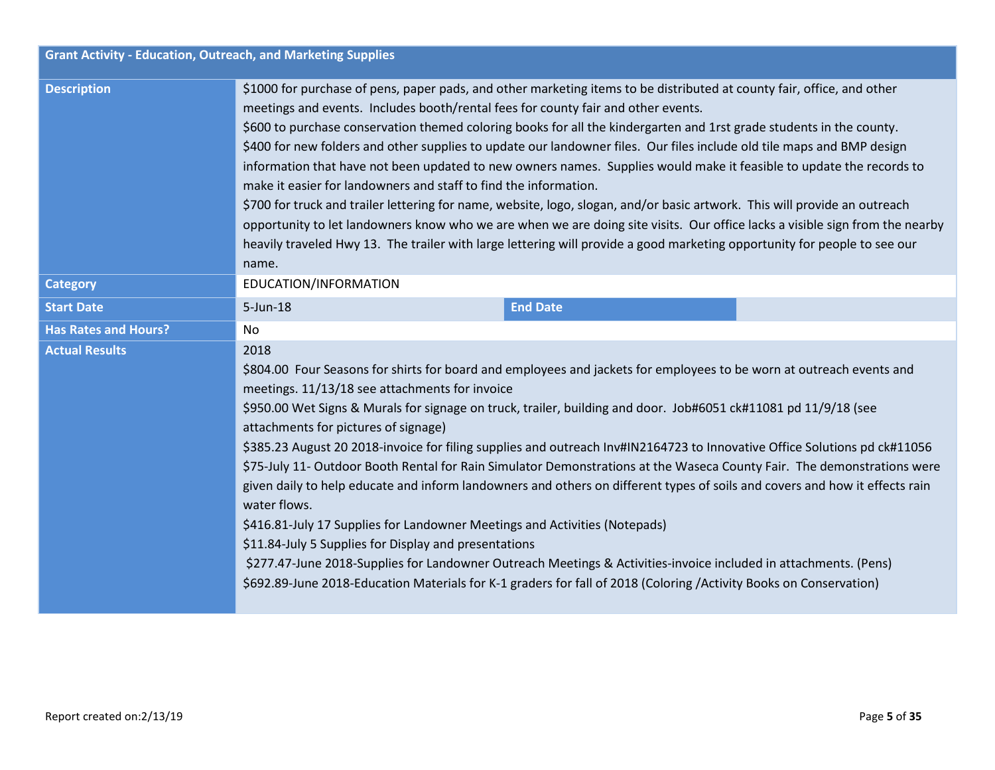| <b>Grant Activity - Education, Outreach, and Marketing Supplies</b> |                                                                                                                                                                                                                                                                                                                                                                                                                                                                                                                                                                                                                                                                                                                                                                                                                                                                                                                                                                                                                                                                                                                                   |  |  |  |  |
|---------------------------------------------------------------------|-----------------------------------------------------------------------------------------------------------------------------------------------------------------------------------------------------------------------------------------------------------------------------------------------------------------------------------------------------------------------------------------------------------------------------------------------------------------------------------------------------------------------------------------------------------------------------------------------------------------------------------------------------------------------------------------------------------------------------------------------------------------------------------------------------------------------------------------------------------------------------------------------------------------------------------------------------------------------------------------------------------------------------------------------------------------------------------------------------------------------------------|--|--|--|--|
| <b>Description</b>                                                  | \$1000 for purchase of pens, paper pads, and other marketing items to be distributed at county fair, office, and other<br>meetings and events. Includes booth/rental fees for county fair and other events.<br>\$600 to purchase conservation themed coloring books for all the kindergarten and 1rst grade students in the county.<br>\$400 for new folders and other supplies to update our landowner files. Our files include old tile maps and BMP design<br>information that have not been updated to new owners names. Supplies would make it feasible to update the records to<br>make it easier for landowners and staff to find the information.<br>\$700 for truck and trailer lettering for name, website, logo, slogan, and/or basic artwork. This will provide an outreach<br>opportunity to let landowners know who we are when we are doing site visits. Our office lacks a visible sign from the nearby<br>heavily traveled Hwy 13. The trailer with large lettering will provide a good marketing opportunity for people to see our<br>name.<br>EDUCATION/INFORMATION                                            |  |  |  |  |
| <b>Category</b>                                                     |                                                                                                                                                                                                                                                                                                                                                                                                                                                                                                                                                                                                                                                                                                                                                                                                                                                                                                                                                                                                                                                                                                                                   |  |  |  |  |
| <b>Start Date</b>                                                   | $5 - Jun-18$<br><b>End Date</b>                                                                                                                                                                                                                                                                                                                                                                                                                                                                                                                                                                                                                                                                                                                                                                                                                                                                                                                                                                                                                                                                                                   |  |  |  |  |
| <b>Has Rates and Hours?</b>                                         | No                                                                                                                                                                                                                                                                                                                                                                                                                                                                                                                                                                                                                                                                                                                                                                                                                                                                                                                                                                                                                                                                                                                                |  |  |  |  |
| <b>Actual Results</b>                                               | 2018<br>\$804.00 Four Seasons for shirts for board and employees and jackets for employees to be worn at outreach events and<br>meetings. 11/13/18 see attachments for invoice<br>\$950.00 Wet Signs & Murals for signage on truck, trailer, building and door. Job#6051 ck#11081 pd 11/9/18 (see<br>attachments for pictures of signage)<br>\$385.23 August 20 2018-invoice for filing supplies and outreach Inv#IN2164723 to Innovative Office Solutions pd ck#11056<br>\$75-July 11- Outdoor Booth Rental for Rain Simulator Demonstrations at the Waseca County Fair. The demonstrations were<br>given daily to help educate and inform landowners and others on different types of soils and covers and how it effects rain<br>water flows.<br>\$416.81-July 17 Supplies for Landowner Meetings and Activities (Notepads)<br>\$11.84-July 5 Supplies for Display and presentations<br>\$277.47-June 2018-Supplies for Landowner Outreach Meetings & Activities-invoice included in attachments. (Pens)<br>\$692.89-June 2018-Education Materials for K-1 graders for fall of 2018 (Coloring /Activity Books on Conservation) |  |  |  |  |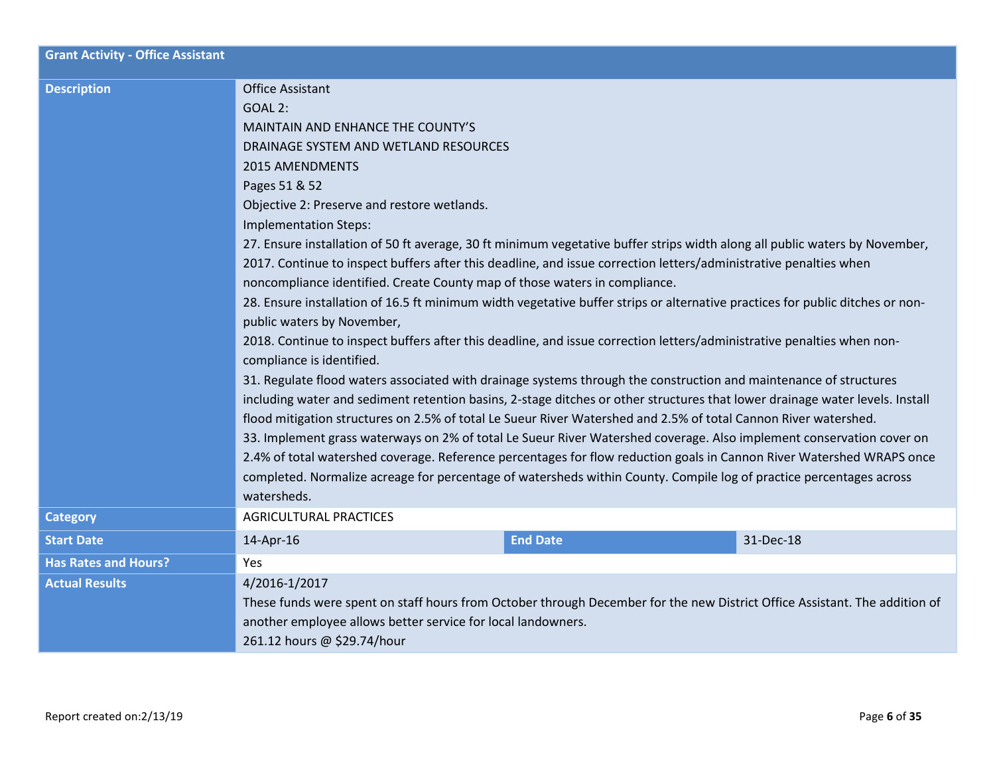| <b>Grant Activity - Office Assistant</b> |                                                                                                                                                                                                                                                                                                                                                                                                                                                                                                                                                                                                                                                                                                                                                                                                                                                                                                                                                                                                                                                                                                                                                                                                                                                                                                                                                                                                                                                                                                                                                                                                                                                                   |                 |           |  |
|------------------------------------------|-------------------------------------------------------------------------------------------------------------------------------------------------------------------------------------------------------------------------------------------------------------------------------------------------------------------------------------------------------------------------------------------------------------------------------------------------------------------------------------------------------------------------------------------------------------------------------------------------------------------------------------------------------------------------------------------------------------------------------------------------------------------------------------------------------------------------------------------------------------------------------------------------------------------------------------------------------------------------------------------------------------------------------------------------------------------------------------------------------------------------------------------------------------------------------------------------------------------------------------------------------------------------------------------------------------------------------------------------------------------------------------------------------------------------------------------------------------------------------------------------------------------------------------------------------------------------------------------------------------------------------------------------------------------|-----------------|-----------|--|
| <b>Description</b>                       | <b>Office Assistant</b><br><b>GOAL 2:</b><br>MAINTAIN AND ENHANCE THE COUNTY'S<br>DRAINAGE SYSTEM AND WETLAND RESOURCES<br><b>2015 AMENDMENTS</b><br>Pages 51 & 52<br>Objective 2: Preserve and restore wetlands.<br>Implementation Steps:<br>27. Ensure installation of 50 ft average, 30 ft minimum vegetative buffer strips width along all public waters by November,<br>2017. Continue to inspect buffers after this deadline, and issue correction letters/administrative penalties when<br>noncompliance identified. Create County map of those waters in compliance.<br>28. Ensure installation of 16.5 ft minimum width vegetative buffer strips or alternative practices for public ditches or non-<br>public waters by November,<br>2018. Continue to inspect buffers after this deadline, and issue correction letters/administrative penalties when non-<br>compliance is identified.<br>31. Regulate flood waters associated with drainage systems through the construction and maintenance of structures<br>including water and sediment retention basins, 2-stage ditches or other structures that lower drainage water levels. Install<br>flood mitigation structures on 2.5% of total Le Sueur River Watershed and 2.5% of total Cannon River watershed.<br>33. Implement grass waterways on 2% of total Le Sueur River Watershed coverage. Also implement conservation cover on<br>2.4% of total watershed coverage. Reference percentages for flow reduction goals in Cannon River Watershed WRAPS once<br>completed. Normalize acreage for percentage of watersheds within County. Compile log of practice percentages across<br>watersheds. |                 |           |  |
| <b>Category</b>                          | <b>AGRICULTURAL PRACTICES</b>                                                                                                                                                                                                                                                                                                                                                                                                                                                                                                                                                                                                                                                                                                                                                                                                                                                                                                                                                                                                                                                                                                                                                                                                                                                                                                                                                                                                                                                                                                                                                                                                                                     |                 |           |  |
| <b>Start Date</b>                        | 14-Apr-16                                                                                                                                                                                                                                                                                                                                                                                                                                                                                                                                                                                                                                                                                                                                                                                                                                                                                                                                                                                                                                                                                                                                                                                                                                                                                                                                                                                                                                                                                                                                                                                                                                                         | <b>End Date</b> | 31-Dec-18 |  |
| <b>Has Rates and Hours?</b>              | Yes                                                                                                                                                                                                                                                                                                                                                                                                                                                                                                                                                                                                                                                                                                                                                                                                                                                                                                                                                                                                                                                                                                                                                                                                                                                                                                                                                                                                                                                                                                                                                                                                                                                               |                 |           |  |
| <b>Actual Results</b>                    | 4/2016-1/2017<br>These funds were spent on staff hours from October through December for the new District Office Assistant. The addition of<br>another employee allows better service for local landowners.<br>261.12 hours @ \$29.74/hour                                                                                                                                                                                                                                                                                                                                                                                                                                                                                                                                                                                                                                                                                                                                                                                                                                                                                                                                                                                                                                                                                                                                                                                                                                                                                                                                                                                                                        |                 |           |  |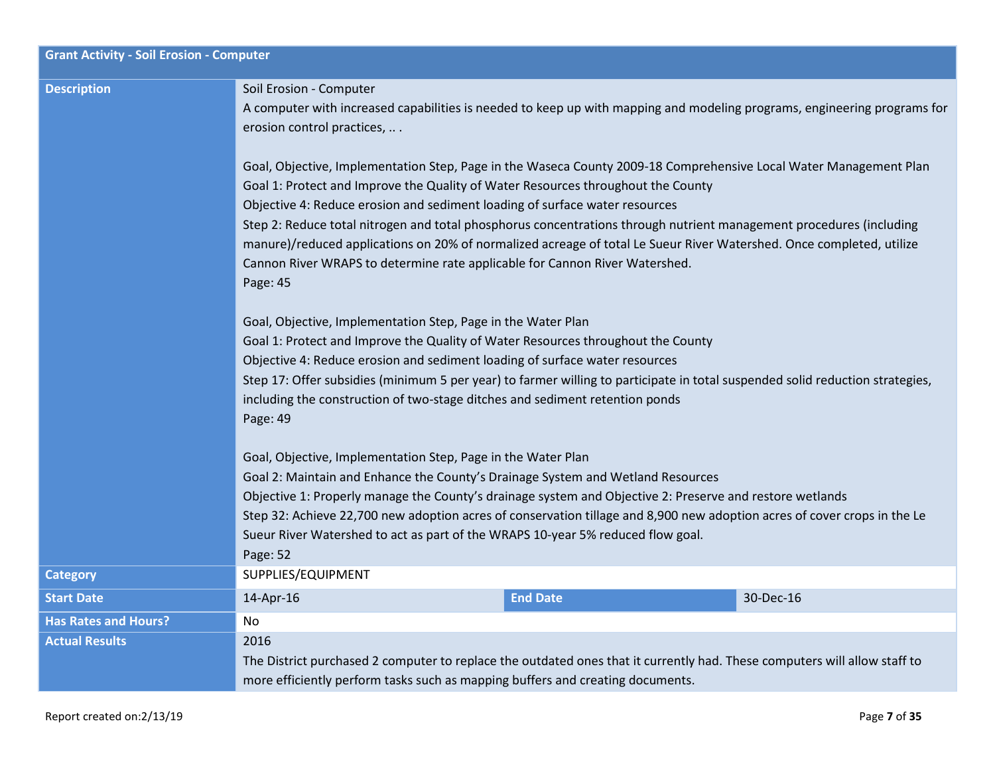| <b>Grant Activity - Soil Erosion - Computer</b> |                                                                                                                                                                                                                                                                                                                                                                                                                                                                                                                                                                                                                                                                                                                                                                                                                     |                 |           |  |  |
|-------------------------------------------------|---------------------------------------------------------------------------------------------------------------------------------------------------------------------------------------------------------------------------------------------------------------------------------------------------------------------------------------------------------------------------------------------------------------------------------------------------------------------------------------------------------------------------------------------------------------------------------------------------------------------------------------------------------------------------------------------------------------------------------------------------------------------------------------------------------------------|-----------------|-----------|--|--|
| <b>Description</b>                              | Soil Erosion - Computer<br>A computer with increased capabilities is needed to keep up with mapping and modeling programs, engineering programs for<br>erosion control practices,<br>Goal, Objective, Implementation Step, Page in the Waseca County 2009-18 Comprehensive Local Water Management Plan<br>Goal 1: Protect and Improve the Quality of Water Resources throughout the County<br>Objective 4: Reduce erosion and sediment loading of surface water resources<br>Step 2: Reduce total nitrogen and total phosphorus concentrations through nutrient management procedures (including<br>manure)/reduced applications on 20% of normalized acreage of total Le Sueur River Watershed. Once completed, utilize<br>Cannon River WRAPS to determine rate applicable for Cannon River Watershed.<br>Page: 45 |                 |           |  |  |
|                                                 | Goal, Objective, Implementation Step, Page in the Water Plan<br>Goal 1: Protect and Improve the Quality of Water Resources throughout the County<br>Objective 4: Reduce erosion and sediment loading of surface water resources<br>Step 17: Offer subsidies (minimum 5 per year) to farmer willing to participate in total suspended solid reduction strategies,<br>including the construction of two-stage ditches and sediment retention ponds<br>Page: 49                                                                                                                                                                                                                                                                                                                                                        |                 |           |  |  |
|                                                 | Goal, Objective, Implementation Step, Page in the Water Plan<br>Goal 2: Maintain and Enhance the County's Drainage System and Wetland Resources<br>Objective 1: Properly manage the County's drainage system and Objective 2: Preserve and restore wetlands<br>Step 32: Achieve 22,700 new adoption acres of conservation tillage and 8,900 new adoption acres of cover crops in the Le<br>Sueur River Watershed to act as part of the WRAPS 10-year 5% reduced flow goal.<br>Page: 52                                                                                                                                                                                                                                                                                                                              |                 |           |  |  |
| <b>Category</b>                                 | SUPPLIES/EQUIPMENT                                                                                                                                                                                                                                                                                                                                                                                                                                                                                                                                                                                                                                                                                                                                                                                                  |                 |           |  |  |
| <b>Start Date</b>                               | 14-Apr-16                                                                                                                                                                                                                                                                                                                                                                                                                                                                                                                                                                                                                                                                                                                                                                                                           | <b>End Date</b> | 30-Dec-16 |  |  |
| <b>Has Rates and Hours?</b>                     | No                                                                                                                                                                                                                                                                                                                                                                                                                                                                                                                                                                                                                                                                                                                                                                                                                  |                 |           |  |  |
| <b>Actual Results</b>                           | 2016<br>The District purchased 2 computer to replace the outdated ones that it currently had. These computers will allow staff to<br>more efficiently perform tasks such as mapping buffers and creating documents.                                                                                                                                                                                                                                                                                                                                                                                                                                                                                                                                                                                                 |                 |           |  |  |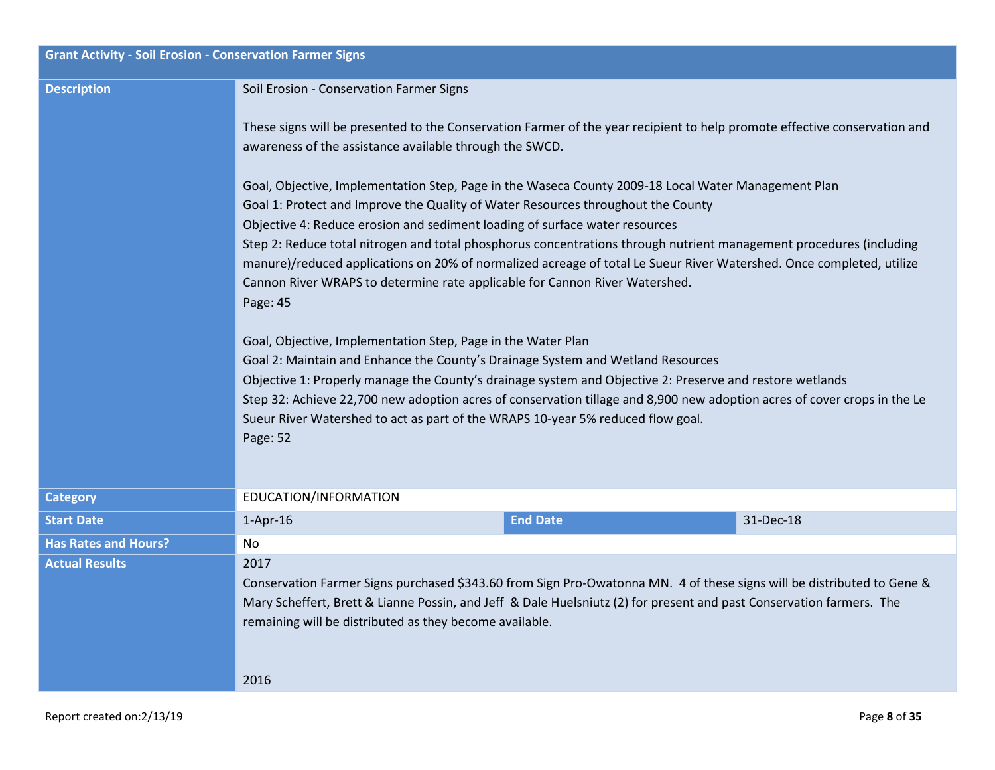| <b>Grant Activity - Soil Erosion - Conservation Farmer Signs</b> |                                                                                                                                                                                                                                                                                                                                                                                                                                                                                                                                                                                                                                                                                                                                                                                                                                                                                                                                                                                                                                                                                                            |                 |           |  |  |  |  |
|------------------------------------------------------------------|------------------------------------------------------------------------------------------------------------------------------------------------------------------------------------------------------------------------------------------------------------------------------------------------------------------------------------------------------------------------------------------------------------------------------------------------------------------------------------------------------------------------------------------------------------------------------------------------------------------------------------------------------------------------------------------------------------------------------------------------------------------------------------------------------------------------------------------------------------------------------------------------------------------------------------------------------------------------------------------------------------------------------------------------------------------------------------------------------------|-----------------|-----------|--|--|--|--|
| <b>Description</b>                                               | Soil Erosion - Conservation Farmer Signs                                                                                                                                                                                                                                                                                                                                                                                                                                                                                                                                                                                                                                                                                                                                                                                                                                                                                                                                                                                                                                                                   |                 |           |  |  |  |  |
|                                                                  | These signs will be presented to the Conservation Farmer of the year recipient to help promote effective conservation and<br>awareness of the assistance available through the SWCD.                                                                                                                                                                                                                                                                                                                                                                                                                                                                                                                                                                                                                                                                                                                                                                                                                                                                                                                       |                 |           |  |  |  |  |
|                                                                  | Goal, Objective, Implementation Step, Page in the Waseca County 2009-18 Local Water Management Plan<br>Goal 1: Protect and Improve the Quality of Water Resources throughout the County<br>Objective 4: Reduce erosion and sediment loading of surface water resources<br>Step 2: Reduce total nitrogen and total phosphorus concentrations through nutrient management procedures (including<br>manure)/reduced applications on 20% of normalized acreage of total Le Sueur River Watershed. Once completed, utilize<br>Cannon River WRAPS to determine rate applicable for Cannon River Watershed.<br>Page: 45<br>Goal, Objective, Implementation Step, Page in the Water Plan<br>Goal 2: Maintain and Enhance the County's Drainage System and Wetland Resources<br>Objective 1: Properly manage the County's drainage system and Objective 2: Preserve and restore wetlands<br>Step 32: Achieve 22,700 new adoption acres of conservation tillage and 8,900 new adoption acres of cover crops in the Le<br>Sueur River Watershed to act as part of the WRAPS 10-year 5% reduced flow goal.<br>Page: 52 |                 |           |  |  |  |  |
| <b>Category</b>                                                  | EDUCATION/INFORMATION                                                                                                                                                                                                                                                                                                                                                                                                                                                                                                                                                                                                                                                                                                                                                                                                                                                                                                                                                                                                                                                                                      |                 |           |  |  |  |  |
| <b>Start Date</b>                                                | $1-Apr-16$                                                                                                                                                                                                                                                                                                                                                                                                                                                                                                                                                                                                                                                                                                                                                                                                                                                                                                                                                                                                                                                                                                 | <b>End Date</b> | 31-Dec-18 |  |  |  |  |
| <b>Has Rates and Hours?</b>                                      | No                                                                                                                                                                                                                                                                                                                                                                                                                                                                                                                                                                                                                                                                                                                                                                                                                                                                                                                                                                                                                                                                                                         |                 |           |  |  |  |  |
| <b>Actual Results</b>                                            | 2017<br>Conservation Farmer Signs purchased \$343.60 from Sign Pro-Owatonna MN. 4 of these signs will be distributed to Gene &<br>Mary Scheffert, Brett & Lianne Possin, and Jeff & Dale Huelsniutz (2) for present and past Conservation farmers. The<br>remaining will be distributed as they become available.                                                                                                                                                                                                                                                                                                                                                                                                                                                                                                                                                                                                                                                                                                                                                                                          |                 |           |  |  |  |  |
|                                                                  | 2016                                                                                                                                                                                                                                                                                                                                                                                                                                                                                                                                                                                                                                                                                                                                                                                                                                                                                                                                                                                                                                                                                                       |                 |           |  |  |  |  |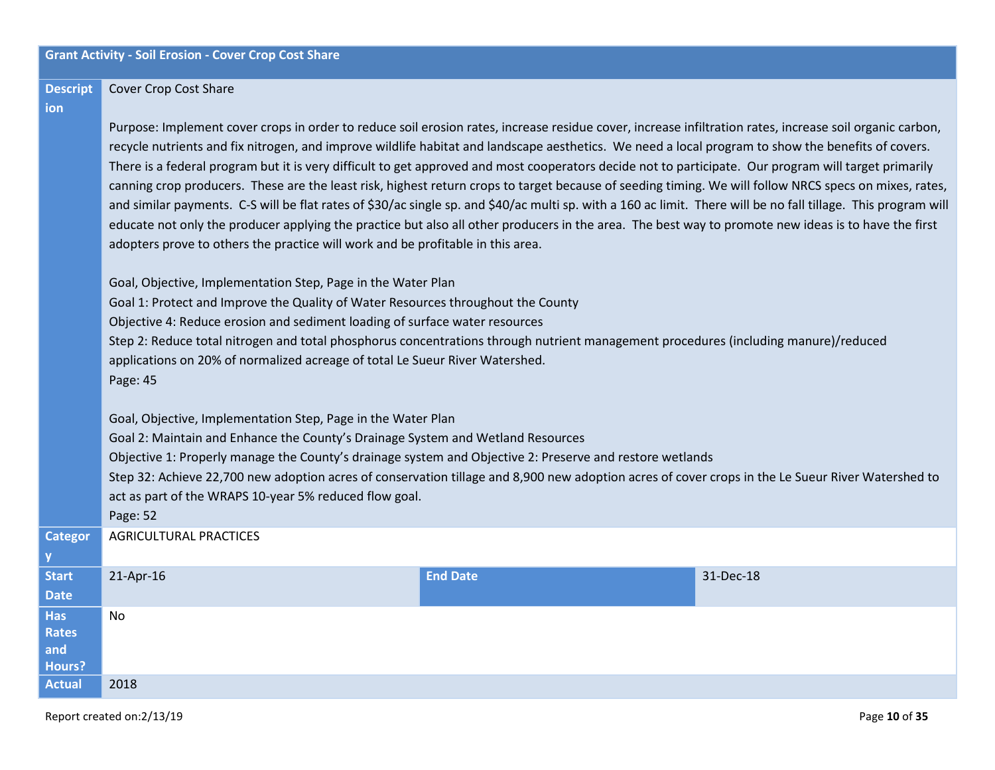#### **Descript** Cover Crop Cost Share

### **ion**

**y**

**and Hours?**

Purpose: Implement cover crops in order to reduce soil erosion rates, increase residue cover, increase infiltration rates, increase soil organic carbon, recycle nutrients and fix nitrogen, and improve wildlife habitat and landscape aesthetics. We need a local program to show the benefits of covers. There is a federal program but it is very difficult to get approved and most cooperators decide not to participate. Our program will target primarily canning crop producers. These are the least risk, highest return crops to target because of seeding timing. We will follow NRCS specs on mixes, rates, and similar payments. C-S will be flat rates of \$30/ac single sp. and \$40/ac multi sp. with a 160 ac limit. There will be no fall tillage. This program will educate not only the producer applying the practice but also all other producers in the area. The best way to promote new ideas is to have the first adopters prove to others the practice will work and be profitable in this area.

Goal, Objective, Implementation Step, Page in the Water Plan Goal 1: Protect and Improve the Quality of Water Resources throughout the County Objective 4: Reduce erosion and sediment loading of surface water resources Step 2: Reduce total nitrogen and total phosphorus concentrations through nutrient management procedures (including manure)/reduced applications on 20% of normalized acreage of total Le Sueur River Watershed. Page: 45 Goal, Objective, Implementation Step, Page in the Water Plan Goal 2: Maintain and Enhance the County's Drainage System and Wetland Resources Objective 1: Properly manage the County's drainage system and Objective 2: Preserve and restore wetlands Step 32: Achieve 22,700 new adoption acres of conservation tillage and 8,900 new adoption acres of cover crops in the Le Sueur River Watershed to act as part of the WRAPS 10-year 5% reduced flow goal. Page: 52 **Categor** AGRICULTURAL PRACTICES **Start Date** 21-Apr-16 **End Date** 31-Dec-18 **Has Rates**  No

**Actual** 2018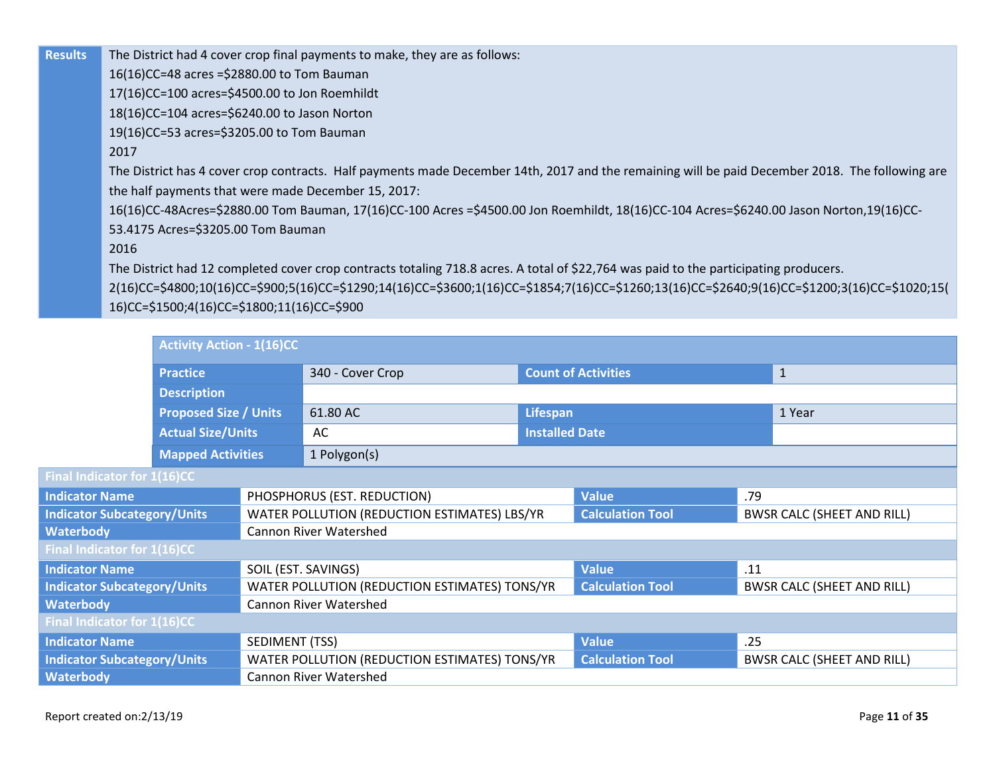**Results** The District had 4 cover crop final payments to make, they are as follows:

16(16)CC=48 acres =\$2880.00 to Tom Bauman

17(16)CC=100 acres=\$4500.00 to Jon Roemhildt

18(16)CC=104 acres=\$6240.00 to Jason Norton

19(16)CC=53 acres=\$3205.00 to Tom Bauman

### 2017

The District has 4 cover crop contracts. Half payments made December 14th, 2017 and the remaining will be paid December 2018. The following are the half payments that were made December 15, 2017:

16(16)CC-48Acres=\$2880.00 Tom Bauman, 17(16)CC-100 Acres =\$4500.00 Jon Roemhildt, 18(16)CC-104 Acres=\$6240.00 Jason Norton,19(16)CC-53.4175 Acres=\$3205.00 Tom Bauman

### 2016

The District had 12 completed cover crop contracts totaling 718.8 acres. A total of \$22,764 was paid to the participating producers.

2(16)CC=\$4800;10(16)CC=\$900;5(16)CC=\$1290;14(16)CC=\$3600;1(16)CC=\$1854;7(16)CC=\$1260;13(16)CC=\$2640;9(16)CC=\$1200;3(16)CC=\$1020;15( 16)CC=\$1500;4(16)CC=\$1800;11(16)CC=\$900

|                                    | <b>Activity Action - 1(16)CC</b>                         |                     |                                               |                            |                         |                                   |                                   |  |
|------------------------------------|----------------------------------------------------------|---------------------|-----------------------------------------------|----------------------------|-------------------------|-----------------------------------|-----------------------------------|--|
|                                    | <b>Practice</b>                                          |                     | 340 - Cover Crop                              | <b>Count of Activities</b> |                         |                                   | $\mathbf{1}$                      |  |
|                                    | <b>Description</b>                                       |                     |                                               |                            |                         |                                   |                                   |  |
|                                    | <b>Proposed Size / Units</b><br><b>Actual Size/Units</b> |                     | 61.80 AC                                      | Lifespan                   |                         |                                   | 1 Year                            |  |
|                                    |                                                          |                     | AC                                            | <b>Installed Date</b>      |                         |                                   |                                   |  |
|                                    | <b>Mapped Activities</b>                                 |                     | 1 Polygon(s)                                  |                            |                         |                                   |                                   |  |
| Final Indicator for 1(16)CC        |                                                          |                     |                                               |                            |                         |                                   |                                   |  |
| <b>Indicator Name</b>              |                                                          |                     | PHOSPHORUS (EST. REDUCTION)                   |                            | <b>Value</b>            | .79                               |                                   |  |
| <b>Indicator Subcategory/Units</b> |                                                          |                     | WATER POLLUTION (REDUCTION ESTIMATES) LBS/YR  |                            | <b>Calculation Tool</b> | <b>BWSR CALC (SHEET AND RILL)</b> |                                   |  |
| <b>Waterbody</b>                   |                                                          |                     | <b>Cannon River Watershed</b>                 |                            |                         |                                   |                                   |  |
| Final Indicator for 1(16)CC        |                                                          |                     |                                               |                            |                         |                                   |                                   |  |
| <b>Indicator Name</b>              |                                                          | SOIL (EST. SAVINGS) |                                               |                            | <b>Value</b>            | .11                               |                                   |  |
| <b>Indicator Subcategory/Units</b> |                                                          |                     | WATER POLLUTION (REDUCTION ESTIMATES) TONS/YR |                            | <b>Calculation Tool</b> |                                   | <b>BWSR CALC (SHEET AND RILL)</b> |  |
| <b>Waterbody</b>                   |                                                          |                     | <b>Cannon River Watershed</b>                 |                            |                         |                                   |                                   |  |
| Final Indicator for 1(16)CC        |                                                          |                     |                                               |                            |                         |                                   |                                   |  |
| <b>Indicator Name</b>              |                                                          | SEDIMENT (TSS)      |                                               |                            | <b>Value</b>            | .25                               |                                   |  |
| <b>Indicator Subcategory/Units</b> |                                                          |                     | WATER POLLUTION (REDUCTION ESTIMATES) TONS/YR |                            | <b>Calculation Tool</b> |                                   | <b>BWSR CALC (SHEET AND RILL)</b> |  |
| <b>Waterbody</b>                   | <b>Cannon River Watershed</b>                            |                     |                                               |                            |                         |                                   |                                   |  |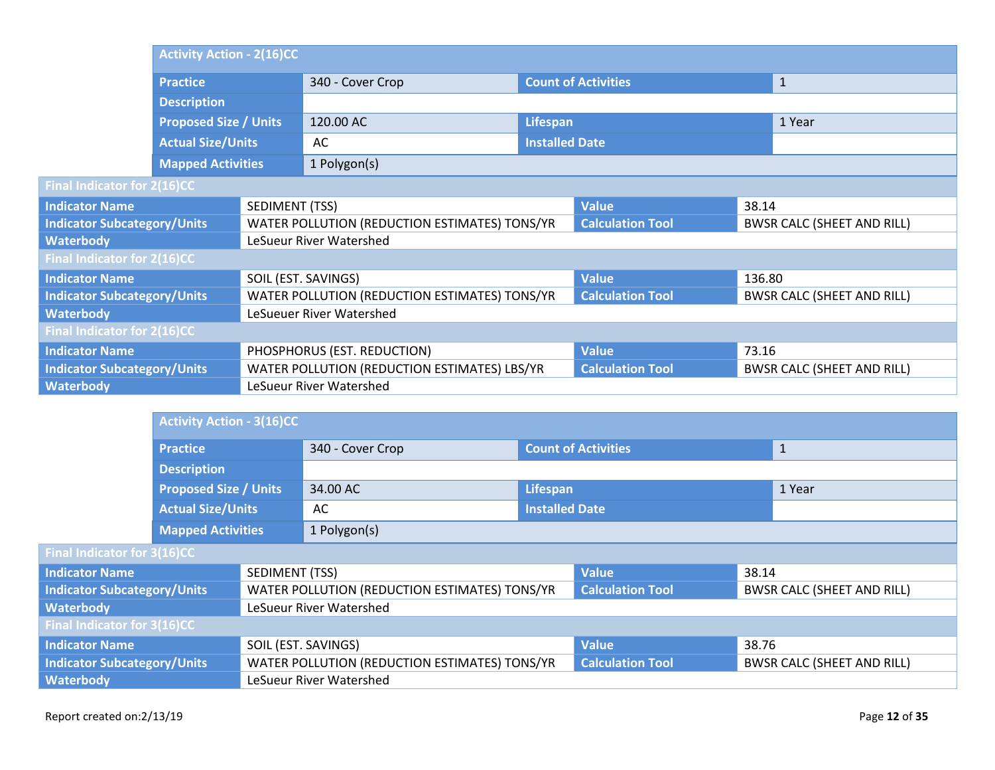|                                    | <b>Activity Action - 2(16)CC</b>                                               |                     |                                               |                            |                         |                                   |                                   |  |
|------------------------------------|--------------------------------------------------------------------------------|---------------------|-----------------------------------------------|----------------------------|-------------------------|-----------------------------------|-----------------------------------|--|
|                                    | <b>Practice</b>                                                                |                     | 340 - Cover Crop                              | <b>Count of Activities</b> |                         |                                   | $\mathbf{1}$                      |  |
|                                    | <b>Description</b><br><b>Proposed Size / Units</b><br><b>Actual Size/Units</b> |                     |                                               |                            |                         |                                   |                                   |  |
|                                    |                                                                                |                     | 120.00 AC                                     | Lifespan                   |                         | 1 Year                            |                                   |  |
|                                    |                                                                                |                     | AC                                            | <b>Installed Date</b>      |                         |                                   |                                   |  |
|                                    | <b>Mapped Activities</b>                                                       |                     | 1 Polygon(s)                                  |                            |                         |                                   |                                   |  |
| Final Indicator for 2(16)CC        |                                                                                |                     |                                               |                            |                         |                                   |                                   |  |
| <b>Indicator Name</b>              |                                                                                | SEDIMENT (TSS)      |                                               |                            | <b>Value</b>            | 38.14                             |                                   |  |
| <b>Indicator Subcategory/Units</b> |                                                                                |                     | WATER POLLUTION (REDUCTION ESTIMATES) TONS/YR |                            | <b>Calculation Tool</b> | <b>BWSR CALC (SHEET AND RILL)</b> |                                   |  |
| <b>Waterbody</b>                   |                                                                                |                     | LeSueur River Watershed                       |                            |                         |                                   |                                   |  |
| Final Indicator for 2(16)CC        |                                                                                |                     |                                               |                            |                         |                                   |                                   |  |
| <b>Indicator Name</b>              |                                                                                | SOIL (EST. SAVINGS) |                                               |                            | <b>Value</b>            | 136.80                            |                                   |  |
| <b>Indicator Subcategory/Units</b> |                                                                                |                     | WATER POLLUTION (REDUCTION ESTIMATES) TONS/YR |                            | <b>Calculation Tool</b> |                                   | <b>BWSR CALC (SHEET AND RILL)</b> |  |
| <b>Waterbody</b>                   |                                                                                |                     | LeSueuer River Watershed                      |                            |                         |                                   |                                   |  |
| Final Indicator for 2(16)CC        |                                                                                |                     |                                               |                            |                         |                                   |                                   |  |
| <b>Indicator Name</b>              |                                                                                |                     | PHOSPHORUS (EST. REDUCTION)                   |                            | <b>Value</b>            | 73.16                             |                                   |  |
| <b>Indicator Subcategory/Units</b> |                                                                                |                     | WATER POLLUTION (REDUCTION ESTIMATES) LBS/YR  |                            | <b>Calculation Tool</b> |                                   | <b>BWSR CALC (SHEET AND RILL)</b> |  |
| <b>Waterbody</b>                   |                                                                                |                     | LeSueur River Watershed                       |                            |                         |                                   |                                   |  |

|                                             |                              | <b>Activity Action - 3(16)CC</b> |                                                                          |                       |                                   |       |                                   |
|---------------------------------------------|------------------------------|----------------------------------|--------------------------------------------------------------------------|-----------------------|-----------------------------------|-------|-----------------------------------|
|                                             | <b>Practice</b>              |                                  | 340 - Cover Crop                                                         |                       | <b>Count of Activities</b>        |       | $\mathbf{1}$                      |
|                                             | <b>Description</b>           |                                  |                                                                          |                       |                                   |       |                                   |
|                                             | <b>Proposed Size / Units</b> |                                  | 34.00 AC                                                                 | Lifespan              | 1 Year                            |       |                                   |
|                                             | <b>Actual Size/Units</b>     |                                  | AC                                                                       | <b>Installed Date</b> |                                   |       |                                   |
|                                             | <b>Mapped Activities</b>     |                                  | 1 Polygon(s)                                                             |                       |                                   |       |                                   |
| <b>Final Indicator for 3(16)CC</b>          |                              |                                  |                                                                          |                       |                                   |       |                                   |
| <b>Indicator Name</b>                       |                              | SEDIMENT (TSS)                   |                                                                          |                       | <b>Value</b>                      | 38.14 |                                   |
| <b>Indicator Subcategory/Units</b>          |                              |                                  | WATER POLLUTION (REDUCTION ESTIMATES) TONS/YR                            |                       | <b>Calculation Tool</b>           |       | <b>BWSR CALC (SHEET AND RILL)</b> |
| Waterbody                                   |                              |                                  | LeSueur River Watershed                                                  |                       |                                   |       |                                   |
| Final Indicator for 3(16)CC                 |                              |                                  |                                                                          |                       |                                   |       |                                   |
| <b>Indicator Name</b>                       |                              |                                  | SOIL (EST. SAVINGS)                                                      |                       | <b>Value</b>                      | 38.76 |                                   |
| <b>Indicator Subcategory/Units</b>          |                              |                                  | WATER POLLUTION (REDUCTION ESTIMATES) TONS/YR<br><b>Calculation Tool</b> |                       | <b>BWSR CALC (SHEET AND RILL)</b> |       |                                   |
| <b>Waterbody</b><br>LeSueur River Watershed |                              |                                  |                                                                          |                       |                                   |       |                                   |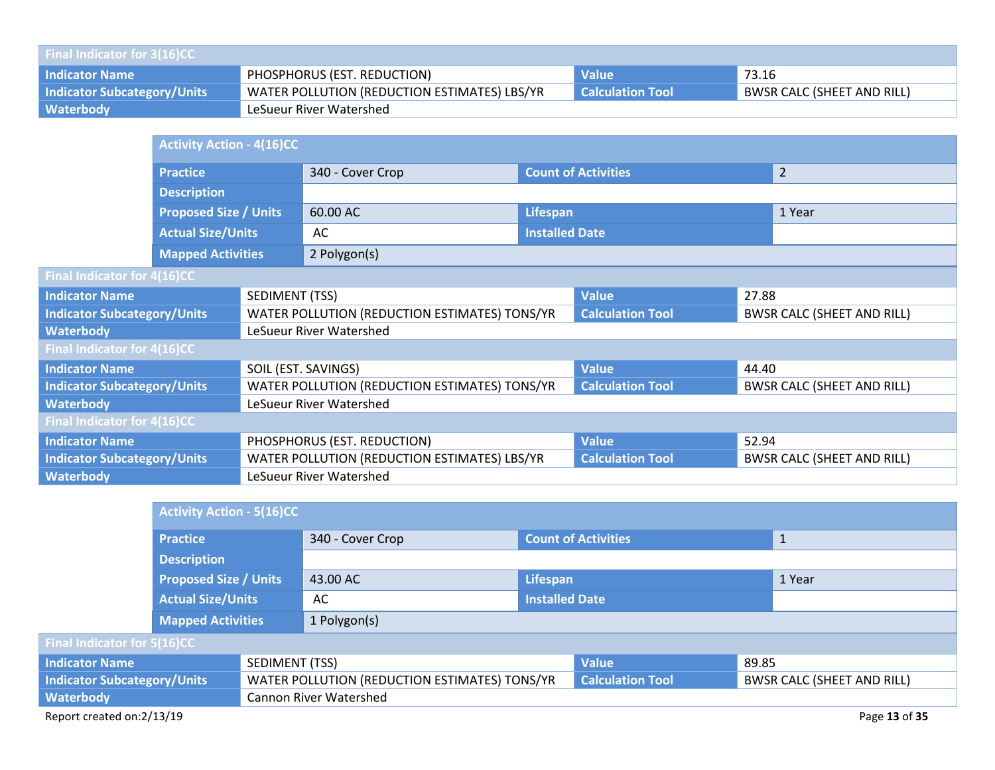| <b>Final Indicator for 3(16)CC</b> |                                              |                         |                                   |  |  |  |  |
|------------------------------------|----------------------------------------------|-------------------------|-----------------------------------|--|--|--|--|
| <b>Indicator Name</b>              | PHOSPHORUS (EST. REDUCTION)                  | <b>Value</b>            | 73.16                             |  |  |  |  |
| <b>Indicator Subcategory/Units</b> | WATER POLLUTION (REDUCTION ESTIMATES) LBS/YR | <b>Calculation Tool</b> | <b>BWSR CALC (SHEET AND RILL)</b> |  |  |  |  |
| Waterbody                          | LeSueur River Watershed                      |                         |                                   |  |  |  |  |

|                                             | <b>Activity Action - 4(16)CC</b>                         |  |                                               |                            |                         |       |                                   |
|---------------------------------------------|----------------------------------------------------------|--|-----------------------------------------------|----------------------------|-------------------------|-------|-----------------------------------|
|                                             | <b>Practice</b>                                          |  | 340 - Cover Crop                              | <b>Count of Activities</b> |                         |       | $\overline{2}$                    |
|                                             | <b>Description</b>                                       |  |                                               |                            |                         |       |                                   |
|                                             | <b>Proposed Size / Units</b><br><b>Actual Size/Units</b> |  | 60.00 AC                                      | Lifespan                   |                         |       | 1 Year                            |
|                                             |                                                          |  | AC                                            | <b>Installed Date</b>      |                         |       |                                   |
|                                             | <b>Mapped Activities</b>                                 |  | 2 Polygon(s)                                  |                            |                         |       |                                   |
| <b>Final Indicator for 4(16)CC</b>          |                                                          |  |                                               |                            |                         |       |                                   |
| SEDIMENT (TSS)<br><b>Indicator Name</b>     |                                                          |  |                                               |                            | <b>Value</b>            | 27.88 |                                   |
| <b>Indicator Subcategory/Units</b>          |                                                          |  | WATER POLLUTION (REDUCTION ESTIMATES) TONS/YR |                            | <b>Calculation Tool</b> |       | <b>BWSR CALC (SHEET AND RILL)</b> |
| <b>Waterbody</b>                            |                                                          |  | LeSueur River Watershed                       |                            |                         |       |                                   |
| Final Indicator for 4(16)CC                 |                                                          |  |                                               |                            |                         |       |                                   |
| <b>Indicator Name</b>                       |                                                          |  | SOIL (EST. SAVINGS)                           |                            | <b>Value</b>            | 44.40 |                                   |
| <b>Indicator Subcategory/Units</b>          |                                                          |  | WATER POLLUTION (REDUCTION ESTIMATES) TONS/YR |                            | <b>Calculation Tool</b> |       | <b>BWSR CALC (SHEET AND RILL)</b> |
| <b>Waterbody</b><br>LeSueur River Watershed |                                                          |  |                                               |                            |                         |       |                                   |
| Final Indicator for 4(16)CC                 |                                                          |  |                                               |                            |                         |       |                                   |
| <b>Indicator Name</b>                       |                                                          |  | PHOSPHORUS (EST. REDUCTION)                   |                            | <b>Value</b>            | 52.94 |                                   |
| <b>Indicator Subcategory/Units</b>          |                                                          |  | WATER POLLUTION (REDUCTION ESTIMATES) LBS/YR  |                            | <b>Calculation Tool</b> |       | <b>BWSR CALC (SHEET AND RILL)</b> |
| <b>Waterbody</b><br>LeSueur River Watershed |                                                          |  |                                               |                            |                         |       |                                   |

|                                    |                                            | <b>Activity Action - 5(16)CC</b>              |                  |                            |              |                                   |  |
|------------------------------------|--------------------------------------------|-----------------------------------------------|------------------|----------------------------|--------------|-----------------------------------|--|
|                                    | <b>Practice</b>                            |                                               | 340 - Cover Crop | <b>Count of Activities</b> |              | $\mathbf{1}$                      |  |
|                                    | <b>Description</b>                         |                                               |                  |                            |              |                                   |  |
|                                    | <b>Proposed Size / Units</b>               |                                               | 43.00 AC         | Lifespan                   |              | 1 Year                            |  |
|                                    | <b>Actual Size/Units</b>                   |                                               | <b>AC</b>        | <b>Installed Date</b>      |              |                                   |  |
|                                    | <b>Mapped Activities</b>                   |                                               | 1 Polygon(s)     |                            |              |                                   |  |
| Final Indicator for 5(16)CC        |                                            |                                               |                  |                            |              |                                   |  |
| <b>Indicator Name</b>              |                                            | SEDIMENT (TSS)                                |                  |                            | <b>Value</b> | 89.85                             |  |
| <b>Indicator Subcategory/Units</b> |                                            | WATER POLLUTION (REDUCTION ESTIMATES) TONS/YR |                  | <b>Calculation Tool</b>    |              | <b>BWSR CALC (SHEET AND RILL)</b> |  |
| <b>Waterbody</b>                   | <b>Cannon River Watershed</b>              |                                               |                  |                            |              |                                   |  |
|                                    | Report created on:2/13/19<br>Page 13 of 35 |                                               |                  |                            |              |                                   |  |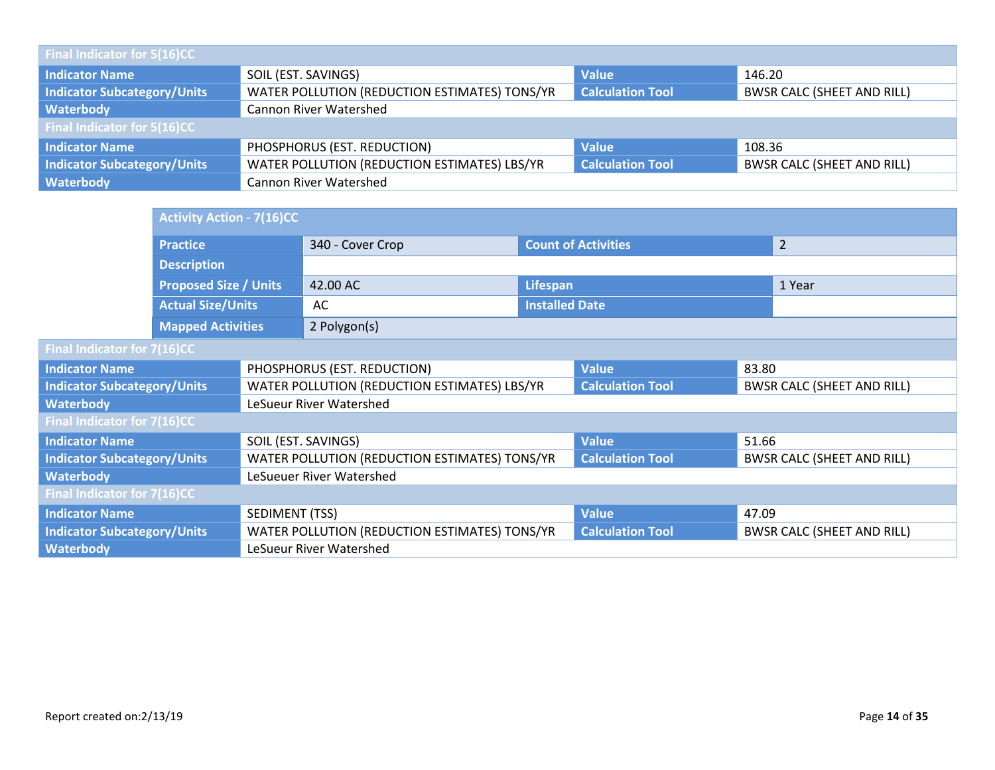| Final Indicator for 5(16)CC        |                                               |                                                              |                                   |  |  |  |  |
|------------------------------------|-----------------------------------------------|--------------------------------------------------------------|-----------------------------------|--|--|--|--|
| <b>Indicator Name</b>              | SOIL (EST. SAVINGS)<br><b>Value</b><br>146.20 |                                                              |                                   |  |  |  |  |
| <b>Indicator Subcategory/Units</b> | WATER POLLUTION (REDUCTION ESTIMATES) TONS/YR | <b>Calculation Tool</b><br><b>BWSR CALC (SHEET AND RILL)</b> |                                   |  |  |  |  |
| Waterbody                          | <b>Cannon River Watershed</b>                 |                                                              |                                   |  |  |  |  |
| <b>Final Indicator for 5(16)CC</b> |                                               |                                                              |                                   |  |  |  |  |
| <b>Indicator Name</b>              | PHOSPHORUS (EST. REDUCTION)                   | <b>Value</b>                                                 | 108.36                            |  |  |  |  |
| <b>Indicator Subcategory/Units</b> | WATER POLLUTION (REDUCTION ESTIMATES) LBS/YR  | <b>Calculation Tool</b>                                      | <b>BWSR CALC (SHEET AND RILL)</b> |  |  |  |  |
| Waterbody                          | <b>Cannon River Watershed</b>                 |                                                              |                                   |  |  |  |  |

|                                              | <b>Activity Action - 7(16)CC</b>                         |                     |                                               |                       |                            |                                   |
|----------------------------------------------|----------------------------------------------------------|---------------------|-----------------------------------------------|-----------------------|----------------------------|-----------------------------------|
|                                              | <b>Practice</b>                                          |                     | 340 - Cover Crop                              |                       | <b>Count of Activities</b> | $\overline{2}$                    |
|                                              | <b>Description</b>                                       |                     |                                               |                       |                            |                                   |
|                                              | <b>Proposed Size / Units</b><br><b>Actual Size/Units</b> |                     | 42.00 AC                                      | Lifespan              |                            | 1 Year                            |
|                                              |                                                          |                     | AC                                            | <b>Installed Date</b> |                            |                                   |
|                                              | <b>Mapped Activities</b>                                 |                     | 2 Polygon(s)                                  |                       |                            |                                   |
| Final Indicator for 7(16)CC                  |                                                          |                     |                                               |                       |                            |                                   |
| <b>Indicator Name</b>                        |                                                          |                     | PHOSPHORUS (EST. REDUCTION)                   |                       | <b>Value</b>               | 83.80                             |
| <b>Indicator Subcategory/Units</b>           |                                                          |                     | WATER POLLUTION (REDUCTION ESTIMATES) LBS/YR  |                       | <b>Calculation Tool</b>    | <b>BWSR CALC (SHEET AND RILL)</b> |
| <b>Waterbody</b>                             |                                                          |                     | LeSueur River Watershed                       |                       |                            |                                   |
| Final Indicator for 7(16)CC                  |                                                          |                     |                                               |                       |                            |                                   |
| <b>Indicator Name</b>                        |                                                          | SOIL (EST. SAVINGS) |                                               |                       | <b>Value</b>               | 51.66                             |
| <b>Indicator Subcategory/Units</b>           |                                                          |                     | WATER POLLUTION (REDUCTION ESTIMATES) TONS/YR |                       | <b>Calculation Tool</b>    | <b>BWSR CALC (SHEET AND RILL)</b> |
| <b>Waterbody</b><br>LeSueuer River Watershed |                                                          |                     |                                               |                       |                            |                                   |
| Final Indicator for 7(16)CC                  |                                                          |                     |                                               |                       |                            |                                   |
| <b>Indicator Name</b>                        |                                                          | SEDIMENT (TSS)      |                                               |                       | <b>Value</b>               | 47.09                             |
| <b>Indicator Subcategory/Units</b>           |                                                          |                     | WATER POLLUTION (REDUCTION ESTIMATES) TONS/YR |                       | <b>Calculation Tool</b>    | <b>BWSR CALC (SHEET AND RILL)</b> |
| <b>Waterbody</b>                             |                                                          |                     | LeSueur River Watershed                       |                       |                            |                                   |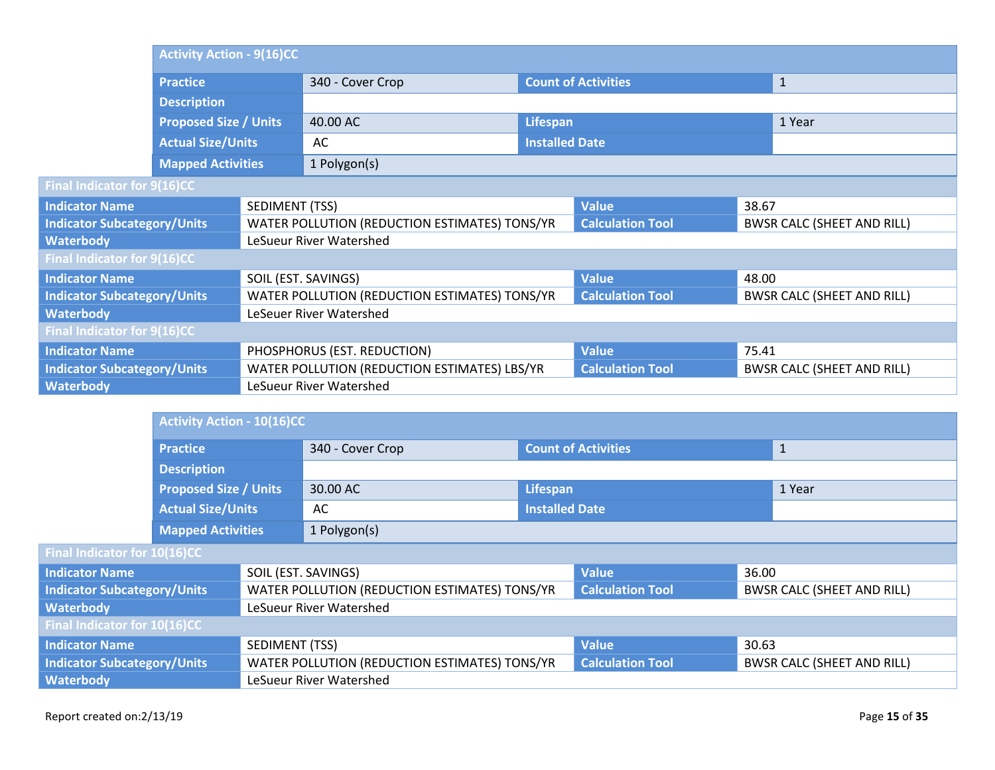|                                    | <b>Activity Action - 9(16)CC</b>                                               |                       |                                               |                       |                            |       |                                   |
|------------------------------------|--------------------------------------------------------------------------------|-----------------------|-----------------------------------------------|-----------------------|----------------------------|-------|-----------------------------------|
|                                    | <b>Practice</b>                                                                |                       | 340 - Cover Crop                              |                       | <b>Count of Activities</b> |       | $\mathbf{1}$                      |
|                                    | <b>Description</b><br><b>Proposed Size / Units</b><br><b>Actual Size/Units</b> |                       |                                               |                       |                            |       |                                   |
|                                    |                                                                                |                       | 40.00 AC                                      |                       | Lifespan                   |       | 1 Year                            |
|                                    |                                                                                |                       | AC                                            | <b>Installed Date</b> |                            |       |                                   |
|                                    | <b>Mapped Activities</b>                                                       |                       | 1 Polygon(s)                                  |                       |                            |       |                                   |
| Final Indicator for 9(16)CC        |                                                                                |                       |                                               |                       |                            |       |                                   |
| <b>Indicator Name</b>              |                                                                                | <b>SEDIMENT (TSS)</b> |                                               |                       | <b>Value</b>               | 38.67 |                                   |
| <b>Indicator Subcategory/Units</b> |                                                                                |                       | WATER POLLUTION (REDUCTION ESTIMATES) TONS/YR |                       | <b>Calculation Tool</b>    |       | <b>BWSR CALC (SHEET AND RILL)</b> |
| <b>Waterbody</b>                   |                                                                                |                       | LeSueur River Watershed                       |                       |                            |       |                                   |
| Final Indicator for 9(16)CC        |                                                                                |                       |                                               |                       |                            |       |                                   |
| <b>Indicator Name</b>              |                                                                                | SOIL (EST. SAVINGS)   |                                               |                       | <b>Value</b>               | 48.00 |                                   |
| <b>Indicator Subcategory/Units</b> |                                                                                |                       | WATER POLLUTION (REDUCTION ESTIMATES) TONS/YR |                       | <b>Calculation Tool</b>    |       | <b>BWSR CALC (SHEET AND RILL)</b> |
| <b>Waterbody</b>                   |                                                                                |                       | LeSeuer River Watershed                       |                       |                            |       |                                   |
| Final Indicator for 9(16)CC        |                                                                                |                       |                                               |                       |                            |       |                                   |
| <b>Indicator Name</b>              |                                                                                |                       | PHOSPHORUS (EST. REDUCTION)                   |                       | <b>Value</b>               | 75.41 |                                   |
| <b>Indicator Subcategory/Units</b> |                                                                                |                       | WATER POLLUTION (REDUCTION ESTIMATES) LBS/YR  |                       | <b>Calculation Tool</b>    |       | <b>BWSR CALC (SHEET AND RILL)</b> |
| <b>Waterbody</b>                   |                                                                                |                       | LeSueur River Watershed                       |                       |                            |       |                                   |

|                                                                                     | <b>Activity Action - 10(16)CC</b> |                     |                                               |                            |                                   |              |                                   |  |  |
|-------------------------------------------------------------------------------------|-----------------------------------|---------------------|-----------------------------------------------|----------------------------|-----------------------------------|--------------|-----------------------------------|--|--|
|                                                                                     | <b>Practice</b>                   |                     | 340 - Cover Crop                              | <b>Count of Activities</b> |                                   | $\mathbf{1}$ |                                   |  |  |
|                                                                                     | <b>Description</b>                |                     |                                               |                            |                                   |              |                                   |  |  |
|                                                                                     | <b>Proposed Size / Units</b>      |                     | 30.00 AC                                      | Lifespan                   | 1 Year                            |              |                                   |  |  |
|                                                                                     | <b>Actual Size/Units</b>          |                     | AC                                            | <b>Installed Date</b>      |                                   |              |                                   |  |  |
|                                                                                     | <b>Mapped Activities</b>          |                     | 1 Polygon(s)                                  |                            |                                   |              |                                   |  |  |
| Final Indicator for 10(16)CC                                                        |                                   |                     |                                               |                            |                                   |              |                                   |  |  |
| <b>Indicator Name</b>                                                               |                                   | SOIL (EST. SAVINGS) |                                               | <b>Value</b><br>36.00      |                                   |              |                                   |  |  |
| <b>Indicator Subcategory/Units</b>                                                  |                                   |                     | WATER POLLUTION (REDUCTION ESTIMATES) TONS/YR |                            | <b>Calculation Tool</b>           |              | <b>BWSR CALC (SHEET AND RILL)</b> |  |  |
| <b>Waterbody</b>                                                                    |                                   |                     | LeSueur River Watershed                       |                            |                                   |              |                                   |  |  |
| Final Indicator for 10(16)CC                                                        |                                   |                     |                                               |                            |                                   |              |                                   |  |  |
| SEDIMENT (TSS)<br><b>Indicator Name</b>                                             |                                   |                     |                                               | <b>Value</b>               | 30.63                             |              |                                   |  |  |
| WATER POLLUTION (REDUCTION ESTIMATES) TONS/YR<br><b>Indicator Subcategory/Units</b> |                                   |                     | <b>Calculation Tool</b>                       |                            | <b>BWSR CALC (SHEET AND RILL)</b> |              |                                   |  |  |
| <b>Waterbody</b>                                                                    |                                   |                     | LeSueur River Watershed                       |                            |                                   |              |                                   |  |  |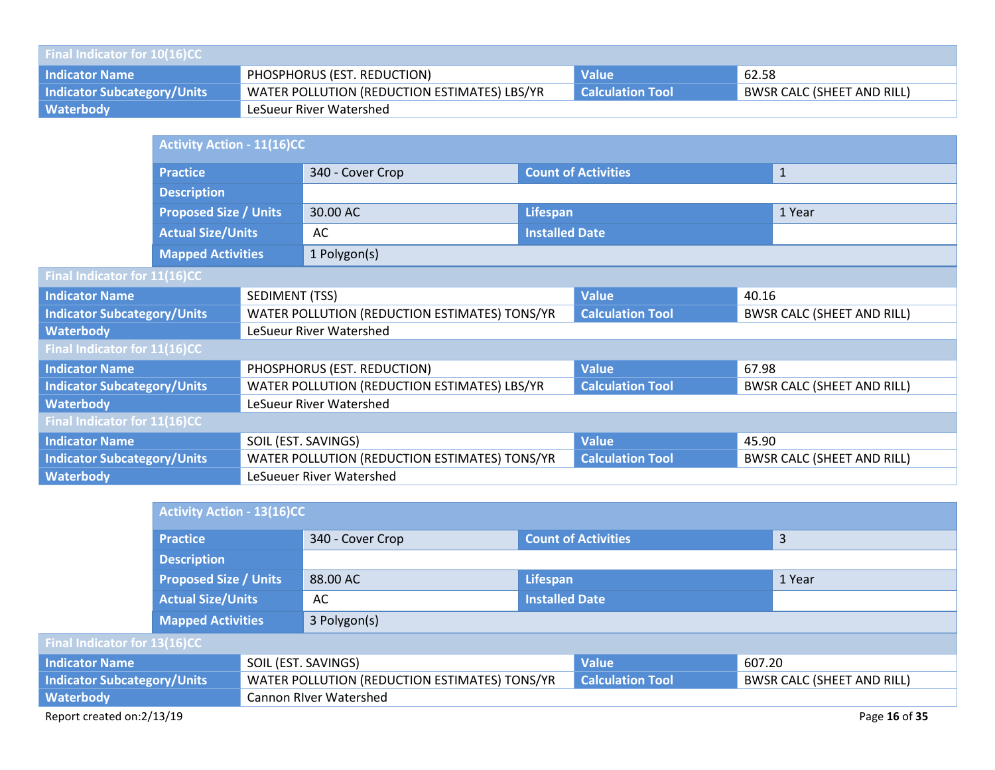| <b>Final Indicator for 10(16)CC</b> |                                              |                         |                                   |  |  |  |  |  |
|-------------------------------------|----------------------------------------------|-------------------------|-----------------------------------|--|--|--|--|--|
| <b>Indicator Name</b>               | PHOSPHORUS (EST. REDUCTION)                  | <b>Value</b>            | 62.58                             |  |  |  |  |  |
| <b>Indicator Subcategory/Units</b>  | WATER POLLUTION (REDUCTION ESTIMATES) LBS/YR | <b>Calculation Tool</b> | <b>BWSR CALC (SHEET AND RILL)</b> |  |  |  |  |  |
| <b>Waterbody</b>                    | LeSueur River Watershed                      |                         |                                   |  |  |  |  |  |

|                                    | <b>Activity Action - 11(16)CC</b> |                     |                                               |                            |                         |       |                                   |
|------------------------------------|-----------------------------------|---------------------|-----------------------------------------------|----------------------------|-------------------------|-------|-----------------------------------|
|                                    | <b>Practice</b>                   |                     | 340 - Cover Crop                              | <b>Count of Activities</b> |                         |       | $\mathbf{1}$                      |
|                                    | <b>Description</b>                |                     |                                               |                            |                         |       |                                   |
|                                    | <b>Proposed Size / Units</b>      |                     | 30.00 AC                                      | Lifespan                   |                         |       | 1 Year                            |
|                                    | <b>Actual Size/Units</b>          |                     | AC                                            | <b>Installed Date</b>      |                         |       |                                   |
|                                    | <b>Mapped Activities</b>          |                     | 1 Polygon(s)                                  |                            |                         |       |                                   |
| Final Indicator for 11(16)CC       |                                   |                     |                                               |                            |                         |       |                                   |
| <b>Indicator Name</b>              |                                   | SEDIMENT (TSS)      |                                               |                            | <b>Value</b>            | 40.16 |                                   |
| <b>Indicator Subcategory/Units</b> |                                   |                     | WATER POLLUTION (REDUCTION ESTIMATES) TONS/YR |                            | <b>Calculation Tool</b> |       | <b>BWSR CALC (SHEET AND RILL)</b> |
| <b>Waterbody</b>                   |                                   |                     | LeSueur River Watershed                       |                            |                         |       |                                   |
| Final Indicator for 11(16)CC       |                                   |                     |                                               |                            |                         |       |                                   |
| <b>Indicator Name</b>              |                                   |                     | PHOSPHORUS (EST. REDUCTION)                   |                            | <b>Value</b>            | 67.98 |                                   |
| <b>Indicator Subcategory/Units</b> |                                   |                     | WATER POLLUTION (REDUCTION ESTIMATES) LBS/YR  |                            | <b>Calculation Tool</b> |       | <b>BWSR CALC (SHEET AND RILL)</b> |
| <b>Waterbody</b>                   |                                   |                     | LeSueur River Watershed                       |                            |                         |       |                                   |
| Final Indicator for 11(16)CC       |                                   |                     |                                               |                            |                         |       |                                   |
| <b>Indicator Name</b>              |                                   | SOIL (EST. SAVINGS) |                                               |                            | <b>Value</b>            | 45.90 |                                   |
| <b>Indicator Subcategory/Units</b> |                                   |                     | WATER POLLUTION (REDUCTION ESTIMATES) TONS/YR |                            | <b>Calculation Tool</b> |       | <b>BWSR CALC (SHEET AND RILL)</b> |
| <b>Waterbody</b>                   |                                   |                     | LeSueuer River Watershed                      |                            |                         |       |                                   |

|                                    | Activity Action - 13(16)CC                 |  |                                               |                            |                         |        |                                   |
|------------------------------------|--------------------------------------------|--|-----------------------------------------------|----------------------------|-------------------------|--------|-----------------------------------|
|                                    | <b>Practice</b>                            |  | 340 - Cover Crop                              | <b>Count of Activities</b> |                         | 3      |                                   |
|                                    | <b>Description</b>                         |  |                                               |                            |                         |        |                                   |
|                                    | <b>Proposed Size / Units</b>               |  | 88.00 AC                                      | Lifespan                   |                         | 1 Year |                                   |
|                                    | <b>Actual Size/Units</b>                   |  | AC                                            | <b>Installed Date</b>      |                         |        |                                   |
|                                    | <b>Mapped Activities</b>                   |  | 3 Polygon(s)                                  |                            |                         |        |                                   |
| Final Indicator for 13(16)CC       |                                            |  |                                               |                            |                         |        |                                   |
| <b>Indicator Name</b>              |                                            |  | SOIL (EST. SAVINGS)                           |                            | <b>Value</b>            | 607.20 |                                   |
| <b>Indicator Subcategory/Units</b> |                                            |  | WATER POLLUTION (REDUCTION ESTIMATES) TONS/YR |                            | <b>Calculation Tool</b> |        | <b>BWSR CALC (SHEET AND RILL)</b> |
| <b>Waterbody</b>                   | <b>Cannon River Watershed</b>              |  |                                               |                            |                         |        |                                   |
|                                    | Report created on:2/13/19<br>Page 16 of 35 |  |                                               |                            |                         |        |                                   |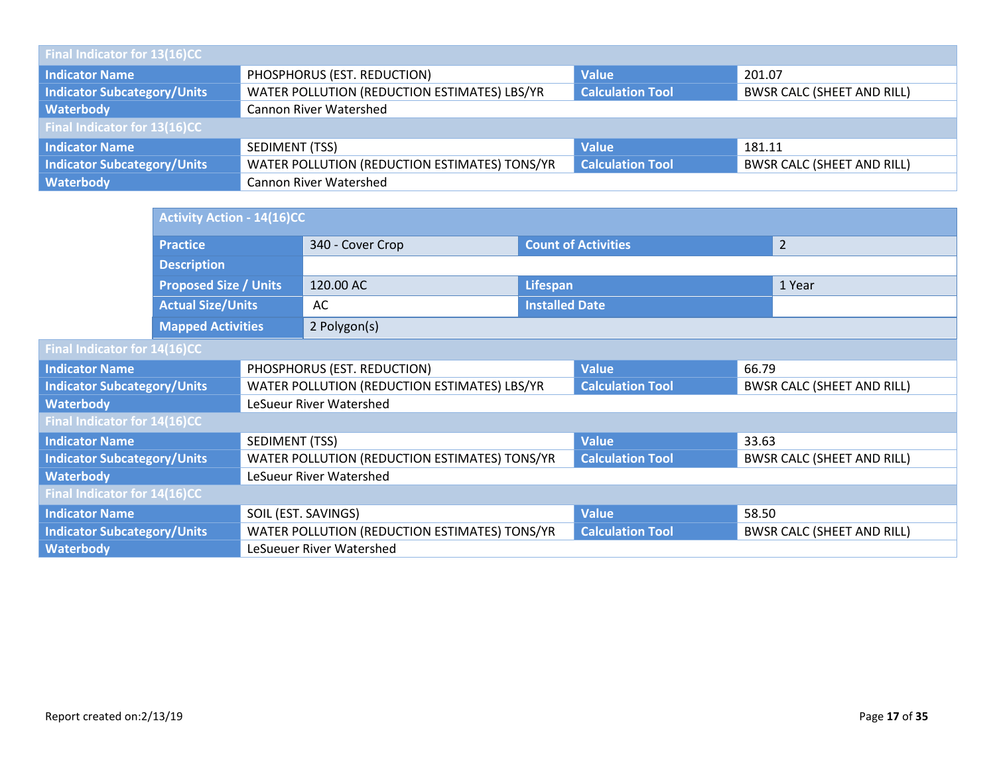| Final Indicator for 13(16)CC       |                                               |                         |                                   |  |  |  |  |
|------------------------------------|-----------------------------------------------|-------------------------|-----------------------------------|--|--|--|--|
| <b>Indicator Name</b>              | PHOSPHORUS (EST. REDUCTION)                   | <b>Value</b>            | 201.07                            |  |  |  |  |
| <b>Indicator Subcategory/Units</b> | WATER POLLUTION (REDUCTION ESTIMATES) LBS/YR  | <b>Calculation Tool</b> | <b>BWSR CALC (SHEET AND RILL)</b> |  |  |  |  |
| Waterbody                          | <b>Cannon River Watershed</b>                 |                         |                                   |  |  |  |  |
| Final Indicator for 13(16)CC       |                                               |                         |                                   |  |  |  |  |
| <b>Indicator Name</b>              | SEDIMENT (TSS)                                | <b>Value</b>            | 181.11                            |  |  |  |  |
| <b>Indicator Subcategory/Units</b> | WATER POLLUTION (REDUCTION ESTIMATES) TONS/YR | <b>Calculation Tool</b> | <b>BWSR CALC (SHEET AND RILL)</b> |  |  |  |  |
| Waterbody                          | <b>Cannon River Watershed</b>                 |                         |                                   |  |  |  |  |

|                                     | <b>Activity Action - 14(16)CC</b> |                     |                                               |                            |                         |       |                                   |
|-------------------------------------|-----------------------------------|---------------------|-----------------------------------------------|----------------------------|-------------------------|-------|-----------------------------------|
|                                     | <b>Practice</b>                   |                     | 340 - Cover Crop                              | <b>Count of Activities</b> |                         |       | $\overline{2}$                    |
|                                     | <b>Description</b>                |                     |                                               |                            |                         |       |                                   |
|                                     | <b>Proposed Size / Units</b>      |                     | 120.00 AC                                     | Lifespan                   |                         |       | 1 Year                            |
|                                     | <b>Actual Size/Units</b>          |                     | AC                                            | <b>Installed Date</b>      |                         |       |                                   |
|                                     | <b>Mapped Activities</b>          |                     | 2 Polygon(s)                                  |                            |                         |       |                                   |
|                                     | Final Indicator for 14(16)CC      |                     |                                               |                            |                         |       |                                   |
| <b>Indicator Name</b>               |                                   |                     | PHOSPHORUS (EST. REDUCTION)                   |                            | <b>Value</b>            | 66.79 |                                   |
| <b>Indicator Subcategory/Units</b>  |                                   |                     | WATER POLLUTION (REDUCTION ESTIMATES) LBS/YR  |                            | <b>Calculation Tool</b> |       | <b>BWSR CALC (SHEET AND RILL)</b> |
| <b>Waterbody</b>                    |                                   |                     | LeSueur River Watershed                       |                            |                         |       |                                   |
| <b>Final Indicator for 14(16)CC</b> |                                   |                     |                                               |                            |                         |       |                                   |
| <b>Indicator Name</b>               |                                   | SEDIMENT (TSS)      |                                               |                            | <b>Value</b>            | 33.63 |                                   |
| <b>Indicator Subcategory/Units</b>  |                                   |                     | WATER POLLUTION (REDUCTION ESTIMATES) TONS/YR |                            | <b>Calculation Tool</b> |       | <b>BWSR CALC (SHEET AND RILL)</b> |
| <b>Waterbody</b>                    |                                   |                     | LeSueur River Watershed                       |                            |                         |       |                                   |
| Final Indicator for 14(16)CC        |                                   |                     |                                               |                            |                         |       |                                   |
| <b>Indicator Name</b>               |                                   | SOIL (EST. SAVINGS) |                                               |                            | <b>Value</b>            | 58.50 |                                   |
| <b>Indicator Subcategory/Units</b>  |                                   |                     | WATER POLLUTION (REDUCTION ESTIMATES) TONS/YR |                            | <b>Calculation Tool</b> |       | <b>BWSR CALC (SHEET AND RILL)</b> |
| <b>Waterbody</b>                    |                                   |                     | LeSueuer River Watershed                      |                            |                         |       |                                   |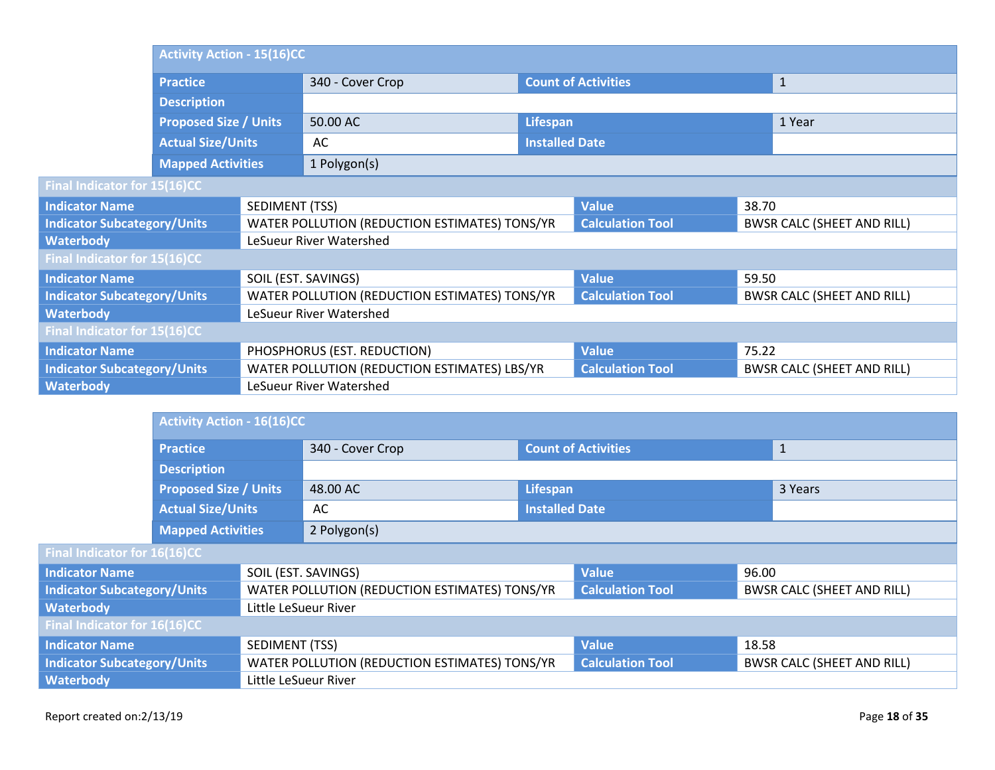|                                     | <b>Activity Action - 15(16)CC</b> |                             |                                               |                            |                         |       |                                   |
|-------------------------------------|-----------------------------------|-----------------------------|-----------------------------------------------|----------------------------|-------------------------|-------|-----------------------------------|
|                                     | <b>Practice</b>                   |                             | 340 - Cover Crop                              | <b>Count of Activities</b> |                         |       | $1\,$                             |
|                                     | <b>Description</b>                |                             |                                               |                            |                         |       |                                   |
|                                     | <b>Proposed Size / Units</b>      |                             | 50.00 AC                                      | Lifespan                   |                         |       | 1 Year                            |
|                                     | <b>Actual Size/Units</b>          |                             | AC                                            | <b>Installed Date</b>      |                         |       |                                   |
|                                     | <b>Mapped Activities</b>          |                             | 1 Polygon(s)                                  |                            |                         |       |                                   |
| <b>Final Indicator for 15(16)CC</b> |                                   |                             |                                               |                            |                         |       |                                   |
| <b>Indicator Name</b>               |                                   | SEDIMENT (TSS)              |                                               |                            | <b>Value</b>            | 38.70 |                                   |
| <b>Indicator Subcategory/Units</b>  |                                   |                             | WATER POLLUTION (REDUCTION ESTIMATES) TONS/YR |                            | <b>Calculation Tool</b> |       | <b>BWSR CALC (SHEET AND RILL)</b> |
| <b>Waterbody</b>                    |                                   |                             | LeSueur River Watershed                       |                            |                         |       |                                   |
| Final Indicator for 15(16)CC        |                                   |                             |                                               |                            |                         |       |                                   |
| <b>Indicator Name</b>               |                                   |                             | SOIL (EST. SAVINGS)                           |                            | <b>Value</b>            | 59.50 |                                   |
| <b>Indicator Subcategory/Units</b>  |                                   |                             | WATER POLLUTION (REDUCTION ESTIMATES) TONS/YR |                            | <b>Calculation Tool</b> |       | <b>BWSR CALC (SHEET AND RILL)</b> |
| <b>Waterbody</b>                    |                                   |                             | LeSueur River Watershed                       |                            |                         |       |                                   |
| Final Indicator for 15(16)CC        |                                   |                             |                                               |                            |                         |       |                                   |
| <b>Indicator Name</b>               |                                   | PHOSPHORUS (EST. REDUCTION) |                                               | <b>Value</b>               | 75.22                   |       |                                   |
| <b>Indicator Subcategory/Units</b>  |                                   |                             | WATER POLLUTION (REDUCTION ESTIMATES) LBS/YR  |                            | <b>Calculation Tool</b> |       | <b>BWSR CALC (SHEET AND RILL)</b> |
| <b>Waterbody</b>                    |                                   |                             | LeSueur River Watershed                       |                            |                         |       |                                   |
|                                     |                                   |                             |                                               |                            |                         |       |                                   |

|                                    |                              | <b>Activity Action - 16(16)CC</b> |                                               |                            |                         |              |                                   |
|------------------------------------|------------------------------|-----------------------------------|-----------------------------------------------|----------------------------|-------------------------|--------------|-----------------------------------|
|                                    | <b>Practice</b>              |                                   | 340 - Cover Crop                              | <b>Count of Activities</b> |                         | $\mathbf{1}$ |                                   |
|                                    | <b>Description</b>           |                                   |                                               |                            |                         |              |                                   |
|                                    | <b>Proposed Size / Units</b> |                                   | 48.00 AC                                      | Lifespan                   |                         | 3 Years      |                                   |
| <b>Actual Size/Units</b>           |                              |                                   | AC                                            | <b>Installed Date</b>      |                         |              |                                   |
|                                    | <b>Mapped Activities</b>     |                                   | 2 Polygon(s)                                  |                            |                         |              |                                   |
| Final Indicator for 16(16)CC       |                              |                                   |                                               |                            |                         |              |                                   |
| <b>Indicator Name</b>              |                              |                                   | SOIL (EST. SAVINGS)                           |                            | <b>Value</b>            | 96.00        |                                   |
| <b>Indicator Subcategory/Units</b> |                              |                                   | WATER POLLUTION (REDUCTION ESTIMATES) TONS/YR |                            | <b>Calculation Tool</b> |              | <b>BWSR CALC (SHEET AND RILL)</b> |
| <b>Waterbody</b>                   |                              | Little LeSueur River              |                                               |                            |                         |              |                                   |
| Final Indicator for 16(16)CC       |                              |                                   |                                               |                            |                         |              |                                   |
| <b>Indicator Name</b>              |                              | SEDIMENT (TSS)                    |                                               |                            | <b>Value</b>            | 18.58        |                                   |
| <b>Indicator Subcategory/Units</b> |                              |                                   | WATER POLLUTION (REDUCTION ESTIMATES) TONS/YR |                            | <b>Calculation Tool</b> |              | <b>BWSR CALC (SHEET AND RILL)</b> |
| <b>Waterbody</b>                   |                              | Little LeSueur River              |                                               |                            |                         |              |                                   |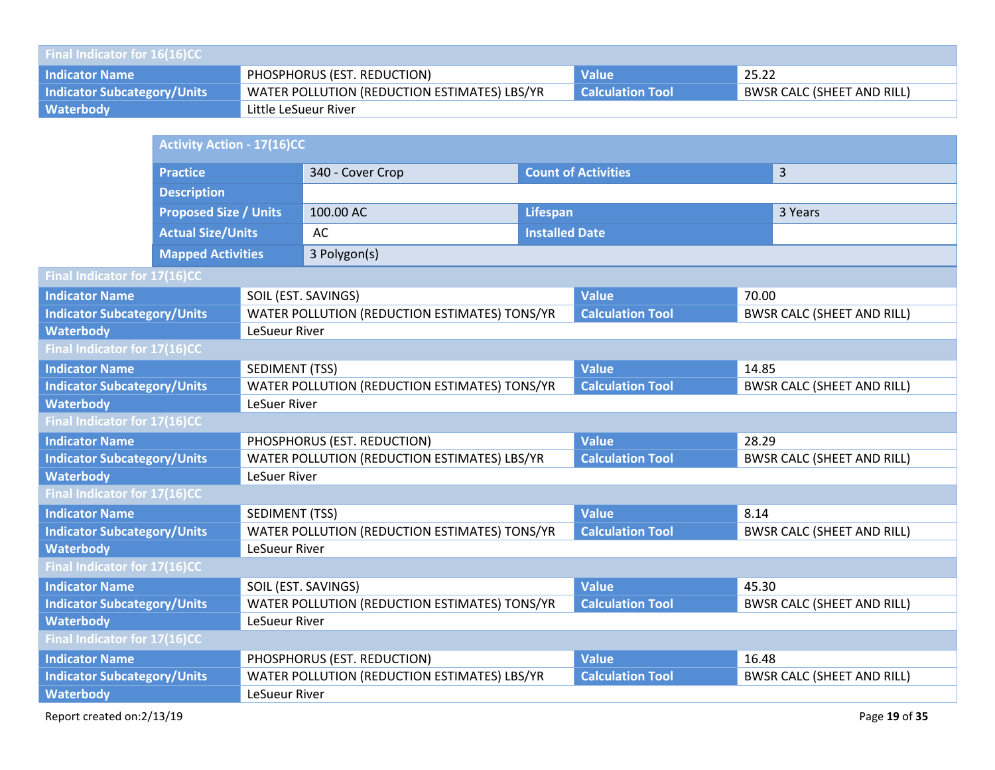| <b>Final Indicator for 16(16)CC</b> |                                              |                         |                                   |  |  |  |  |
|-------------------------------------|----------------------------------------------|-------------------------|-----------------------------------|--|--|--|--|
| <b>Indicator Name</b>               | PHOSPHORUS (EST. REDUCTION)                  | <b>Value</b>            | 25.22                             |  |  |  |  |
| <b>Indicator Subcategory/Units</b>  | WATER POLLUTION (REDUCTION ESTIMATES) LBS/YR | <b>Calculation Tool</b> | <b>BWSR CALC (SHEET AND RILL)</b> |  |  |  |  |
| <b>Waterbody</b>                    | Little LeSueur River                         |                         |                                   |  |  |  |  |

|                                            | <b>Activity Action - 17(16)CC</b> |                       |                                               |                       |                            |       |                                   |  |
|--------------------------------------------|-----------------------------------|-----------------------|-----------------------------------------------|-----------------------|----------------------------|-------|-----------------------------------|--|
|                                            | <b>Practice</b>                   |                       | 340 - Cover Crop                              |                       | <b>Count of Activities</b> |       | $\overline{3}$                    |  |
|                                            | <b>Description</b>                |                       |                                               |                       |                            |       |                                   |  |
|                                            | <b>Proposed Size / Units</b>      |                       | 100.00 AC<br><b>Lifespan</b>                  |                       |                            |       | 3 Years                           |  |
|                                            | <b>Actual Size/Units</b>          |                       | AC                                            | <b>Installed Date</b> |                            |       |                                   |  |
|                                            | <b>Mapped Activities</b>          |                       | 3 Polygon(s)                                  |                       |                            |       |                                   |  |
| Final Indicator for 17(16)CC               |                                   |                       |                                               |                       |                            |       |                                   |  |
| <b>Indicator Name</b>                      |                                   | SOIL (EST. SAVINGS)   |                                               |                       | <b>Value</b>               |       | 70.00                             |  |
| <b>Indicator Subcategory/Units</b>         |                                   |                       | WATER POLLUTION (REDUCTION ESTIMATES) TONS/YR |                       | <b>Calculation Tool</b>    |       | <b>BWSR CALC (SHEET AND RILL)</b> |  |
| <b>Waterbody</b>                           |                                   | LeSueur River         |                                               |                       |                            |       |                                   |  |
| Final Indicator for 17(16)CC               |                                   |                       |                                               |                       |                            |       |                                   |  |
| <b>Indicator Name</b>                      |                                   | <b>SEDIMENT (TSS)</b> |                                               |                       | <b>Value</b>               | 14.85 |                                   |  |
| <b>Indicator Subcategory/Units</b>         |                                   |                       | WATER POLLUTION (REDUCTION ESTIMATES) TONS/YR |                       | <b>Calculation Tool</b>    |       | <b>BWSR CALC (SHEET AND RILL)</b> |  |
| <b>Waterbody</b>                           |                                   | LeSuer River          |                                               |                       |                            |       |                                   |  |
| Final Indicator for 17(16)CC               |                                   |                       |                                               |                       |                            |       |                                   |  |
| <b>Indicator Name</b>                      |                                   |                       | PHOSPHORUS (EST. REDUCTION)                   |                       | <b>Value</b>               | 28.29 |                                   |  |
| <b>Indicator Subcategory/Units</b>         |                                   |                       | WATER POLLUTION (REDUCTION ESTIMATES) LBS/YR  |                       | <b>Calculation Tool</b>    |       | <b>BWSR CALC (SHEET AND RILL)</b> |  |
| <b>Waterbody</b>                           |                                   | <b>LeSuer River</b>   |                                               |                       |                            |       |                                   |  |
| Final Indicator for 17(16)CC               |                                   |                       |                                               |                       |                            |       |                                   |  |
| <b>Indicator Name</b>                      |                                   |                       | SEDIMENT (TSS)                                |                       | <b>Value</b>               | 8.14  |                                   |  |
| <b>Indicator Subcategory/Units</b>         |                                   |                       | WATER POLLUTION (REDUCTION ESTIMATES) TONS/YR |                       | <b>Calculation Tool</b>    |       | <b>BWSR CALC (SHEET AND RILL)</b> |  |
| <b>Waterbody</b>                           |                                   | LeSueur River         |                                               |                       |                            |       |                                   |  |
| Final Indicator for 17(16)CC               |                                   |                       |                                               |                       |                            |       |                                   |  |
| <b>Indicator Name</b>                      |                                   | SOIL (EST. SAVINGS)   |                                               |                       | <b>Value</b>               | 45.30 |                                   |  |
| <b>Indicator Subcategory/Units</b>         |                                   |                       | WATER POLLUTION (REDUCTION ESTIMATES) TONS/YR |                       | <b>Calculation Tool</b>    |       | <b>BWSR CALC (SHEET AND RILL)</b> |  |
| <b>Waterbody</b><br>LeSueur River          |                                   |                       |                                               |                       |                            |       |                                   |  |
| Final Indicator for 17(16)CC               |                                   |                       |                                               |                       |                            |       |                                   |  |
| <b>Indicator Name</b>                      |                                   |                       | PHOSPHORUS (EST. REDUCTION)                   |                       | <b>Value</b>               | 16.48 |                                   |  |
| <b>Indicator Subcategory/Units</b>         |                                   |                       | WATER POLLUTION (REDUCTION ESTIMATES) LBS/YR  |                       | <b>Calculation Tool</b>    |       | <b>BWSR CALC (SHEET AND RILL)</b> |  |
| <b>Waterbody</b>                           |                                   | LeSueur River         |                                               |                       |                            |       |                                   |  |
| Report created on:2/13/19<br>Page 19 of 35 |                                   |                       |                                               |                       |                            |       |                                   |  |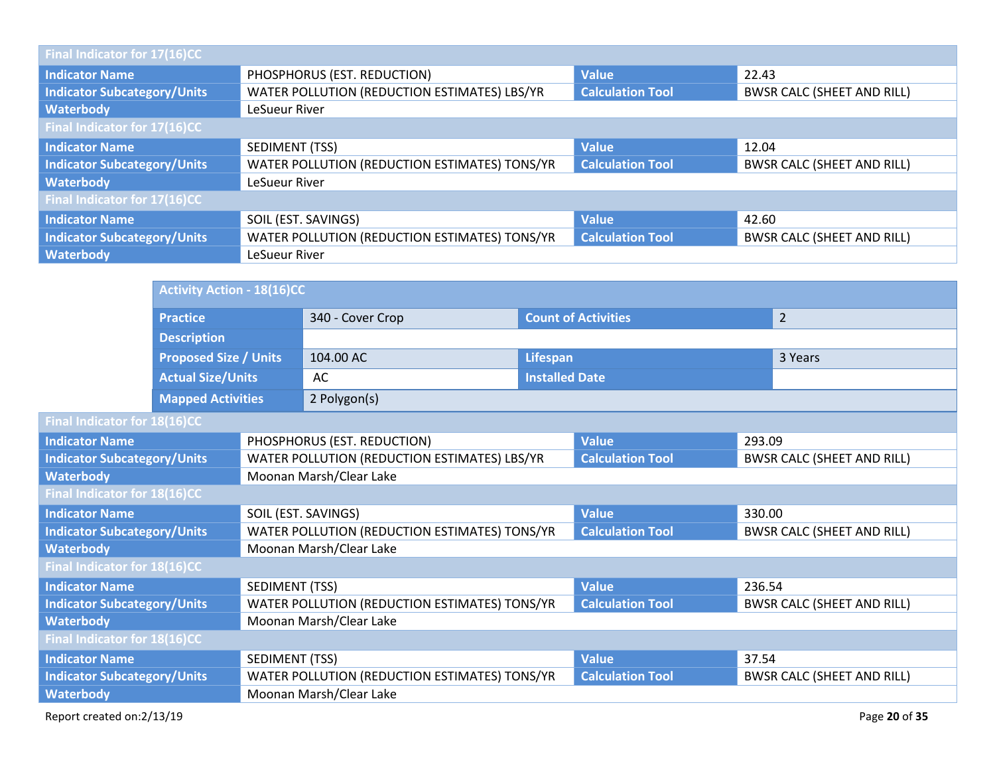| Final Indicator for 17(16)CC       |                                                      |                         |                                   |  |  |  |
|------------------------------------|------------------------------------------------------|-------------------------|-----------------------------------|--|--|--|
| <b>Indicator Name</b>              | PHOSPHORUS (EST. REDUCTION)<br><b>Value</b><br>22.43 |                         |                                   |  |  |  |
| <b>Indicator Subcategory/Units</b> | WATER POLLUTION (REDUCTION ESTIMATES) LBS/YR         | <b>Calculation Tool</b> | <b>BWSR CALC (SHEET AND RILL)</b> |  |  |  |
| Waterbody                          | LeSueur River                                        |                         |                                   |  |  |  |
| Final Indicator for 17(16)CC       |                                                      |                         |                                   |  |  |  |
| <b>Indicator Name</b>              | SEDIMENT (TSS)                                       | <b>Value</b>            | 12.04                             |  |  |  |
| <b>Indicator Subcategory/Units</b> | WATER POLLUTION (REDUCTION ESTIMATES) TONS/YR        | <b>Calculation Tool</b> | <b>BWSR CALC (SHEET AND RILL)</b> |  |  |  |
| <b>Waterbody</b>                   | LeSueur River                                        |                         |                                   |  |  |  |
| Final Indicator for 17(16)CC       |                                                      |                         |                                   |  |  |  |
| <b>Indicator Name</b>              | SOIL (EST. SAVINGS)                                  | <b>Value</b>            | 42.60                             |  |  |  |
| <b>Indicator Subcategory/Units</b> | WATER POLLUTION (REDUCTION ESTIMATES) TONS/YR        | <b>Calculation Tool</b> | <b>BWSR CALC (SHEET AND RILL)</b> |  |  |  |
| <b>Waterbody</b>                   | LeSueur River                                        |                         |                                   |  |  |  |

|                                    |                              | <b>Activity Action - 18(16)CC</b> |                                               |                                                                          |                            |         |                                   |  |
|------------------------------------|------------------------------|-----------------------------------|-----------------------------------------------|--------------------------------------------------------------------------|----------------------------|---------|-----------------------------------|--|
|                                    | <b>Practice</b>              |                                   | 340 - Cover Crop                              |                                                                          | <b>Count of Activities</b> |         | $\overline{2}$                    |  |
|                                    | <b>Description</b>           |                                   |                                               |                                                                          |                            |         |                                   |  |
|                                    | <b>Proposed Size / Units</b> |                                   | 104.00 AC                                     | Lifespan                                                                 |                            | 3 Years |                                   |  |
|                                    | <b>Actual Size/Units</b>     |                                   | AC                                            | <b>Installed Date</b>                                                    |                            |         |                                   |  |
|                                    | <b>Mapped Activities</b>     |                                   | 2 Polygon(s)                                  |                                                                          |                            |         |                                   |  |
| Final Indicator for 18(16)CC       |                              |                                   |                                               |                                                                          |                            |         |                                   |  |
| <b>Indicator Name</b>              |                              |                                   | PHOSPHORUS (EST. REDUCTION)                   |                                                                          | <b>Value</b>               | 293.09  |                                   |  |
| <b>Indicator Subcategory/Units</b> |                              |                                   | WATER POLLUTION (REDUCTION ESTIMATES) LBS/YR  |                                                                          | <b>Calculation Tool</b>    |         | <b>BWSR CALC (SHEET AND RILL)</b> |  |
| <b>Waterbody</b>                   |                              |                                   | Moonan Marsh/Clear Lake                       |                                                                          |                            |         |                                   |  |
| Final Indicator for 18(16)CC       |                              |                                   |                                               |                                                                          |                            |         |                                   |  |
| <b>Indicator Name</b>              |                              |                                   | SOIL (EST. SAVINGS)                           |                                                                          | <b>Value</b>               | 330.00  |                                   |  |
| <b>Indicator Subcategory/Units</b> |                              |                                   | WATER POLLUTION (REDUCTION ESTIMATES) TONS/YR |                                                                          | <b>Calculation Tool</b>    |         | <b>BWSR CALC (SHEET AND RILL)</b> |  |
| <b>Waterbody</b>                   |                              |                                   | Moonan Marsh/Clear Lake                       |                                                                          |                            |         |                                   |  |
| Final Indicator for 18(16)CC       |                              |                                   |                                               |                                                                          |                            |         |                                   |  |
| <b>Indicator Name</b>              |                              | SEDIMENT (TSS)                    |                                               |                                                                          | <b>Value</b>               | 236.54  |                                   |  |
| <b>Indicator Subcategory/Units</b> |                              |                                   | WATER POLLUTION (REDUCTION ESTIMATES) TONS/YR |                                                                          | <b>Calculation Tool</b>    |         | <b>BWSR CALC (SHEET AND RILL)</b> |  |
| <b>Waterbody</b>                   |                              |                                   | Moonan Marsh/Clear Lake                       |                                                                          |                            |         |                                   |  |
| Final Indicator for 18(16)CC       |                              |                                   |                                               |                                                                          |                            |         |                                   |  |
| <b>Indicator Name</b>              |                              | SEDIMENT (TSS)                    |                                               |                                                                          | <b>Value</b>               | 37.54   |                                   |  |
| <b>Indicator Subcategory/Units</b> |                              |                                   |                                               | <b>Calculation Tool</b><br>WATER POLLUTION (REDUCTION ESTIMATES) TONS/YR |                            |         | <b>BWSR CALC (SHEET AND RILL)</b> |  |
| <b>Waterbody</b>                   |                              |                                   | Moonan Marsh/Clear Lake                       |                                                                          |                            |         |                                   |  |
| Report created on:2/13/19          |                              |                                   |                                               |                                                                          |                            |         | Page 20 of 35                     |  |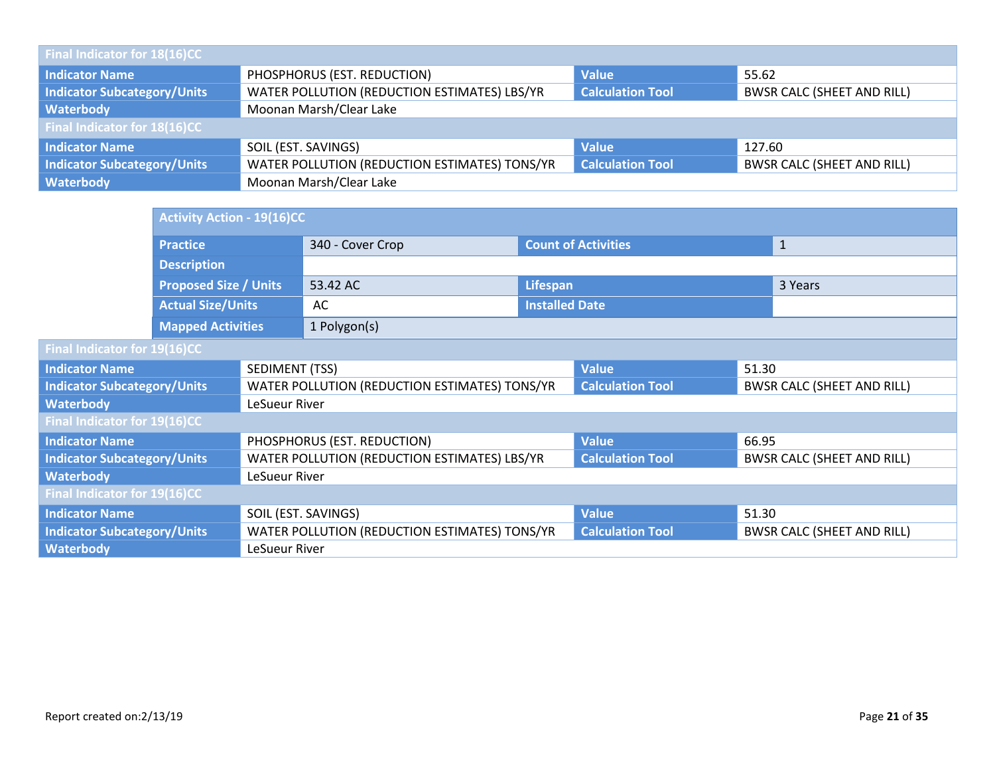| Final Indicator for 18(16)CC       |                                               |                         |                                   |  |  |  |  |
|------------------------------------|-----------------------------------------------|-------------------------|-----------------------------------|--|--|--|--|
| Indicator Name                     | PHOSPHORUS (EST. REDUCTION)                   | <b>Value</b>            | 55.62                             |  |  |  |  |
| <b>Indicator Subcategory/Units</b> | WATER POLLUTION (REDUCTION ESTIMATES) LBS/YR  | <b>Calculation Tool</b> | <b>BWSR CALC (SHEET AND RILL)</b> |  |  |  |  |
| Waterbody                          | Moonan Marsh/Clear Lake                       |                         |                                   |  |  |  |  |
| Final Indicator for $18(16)$ CC    |                                               |                         |                                   |  |  |  |  |
| <b>Indicator Name</b>              | SOIL (EST. SAVINGS)                           | <b>Value</b>            | 127.60                            |  |  |  |  |
| <b>Indicator Subcategory/Units</b> | WATER POLLUTION (REDUCTION ESTIMATES) TONS/YR | <b>Calculation Tool</b> | <b>BWSR CALC (SHEET AND RILL)</b> |  |  |  |  |
| Waterbody                          | Moonan Marsh/Clear Lake                       |                         |                                   |  |  |  |  |

|                                    | <b>Activity Action - 19(16)CC</b> |                     |                                               |                            |                         |       |                                   |
|------------------------------------|-----------------------------------|---------------------|-----------------------------------------------|----------------------------|-------------------------|-------|-----------------------------------|
|                                    | <b>Practice</b>                   |                     | 340 - Cover Crop                              | <b>Count of Activities</b> |                         |       | $\mathbf{1}$                      |
|                                    | <b>Description</b>                |                     |                                               |                            |                         |       |                                   |
|                                    | <b>Proposed Size / Units</b>      |                     | 53.42 AC                                      | <b>Lifespan</b>            |                         |       | 3 Years                           |
|                                    | <b>Actual Size/Units</b>          |                     | AC                                            | <b>Installed Date</b>      |                         |       |                                   |
|                                    | <b>Mapped Activities</b>          |                     | 1 Polygon(s)                                  |                            |                         |       |                                   |
| Final Indicator for 19(16)CC       |                                   |                     |                                               |                            |                         |       |                                   |
| <b>Indicator Name</b>              |                                   | SEDIMENT (TSS)      |                                               |                            | <b>Value</b>            | 51.30 |                                   |
| <b>Indicator Subcategory/Units</b> |                                   |                     | WATER POLLUTION (REDUCTION ESTIMATES) TONS/YR |                            | <b>Calculation Tool</b> |       | <b>BWSR CALC (SHEET AND RILL)</b> |
| <b>Waterbody</b>                   |                                   | LeSueur River       |                                               |                            |                         |       |                                   |
| Final Indicator for 19(16)CC       |                                   |                     |                                               |                            |                         |       |                                   |
| <b>Indicator Name</b>              |                                   |                     | PHOSPHORUS (EST. REDUCTION)                   |                            | <b>Value</b>            | 66.95 |                                   |
| <b>Indicator Subcategory/Units</b> |                                   |                     | WATER POLLUTION (REDUCTION ESTIMATES) LBS/YR  |                            | <b>Calculation Tool</b> |       | <b>BWSR CALC (SHEET AND RILL)</b> |
| <b>Waterbody</b>                   |                                   | LeSueur River       |                                               |                            |                         |       |                                   |
| Final Indicator for 19(16)CC       |                                   |                     |                                               |                            |                         |       |                                   |
| <b>Indicator Name</b>              |                                   | SOIL (EST. SAVINGS) |                                               | <b>Value</b>               | 51.30                   |       |                                   |
| <b>Indicator Subcategory/Units</b> |                                   |                     | WATER POLLUTION (REDUCTION ESTIMATES) TONS/YR |                            | <b>Calculation Tool</b> |       | <b>BWSR CALC (SHEET AND RILL)</b> |
| <b>Waterbody</b>                   |                                   | LeSueur River       |                                               |                            |                         |       |                                   |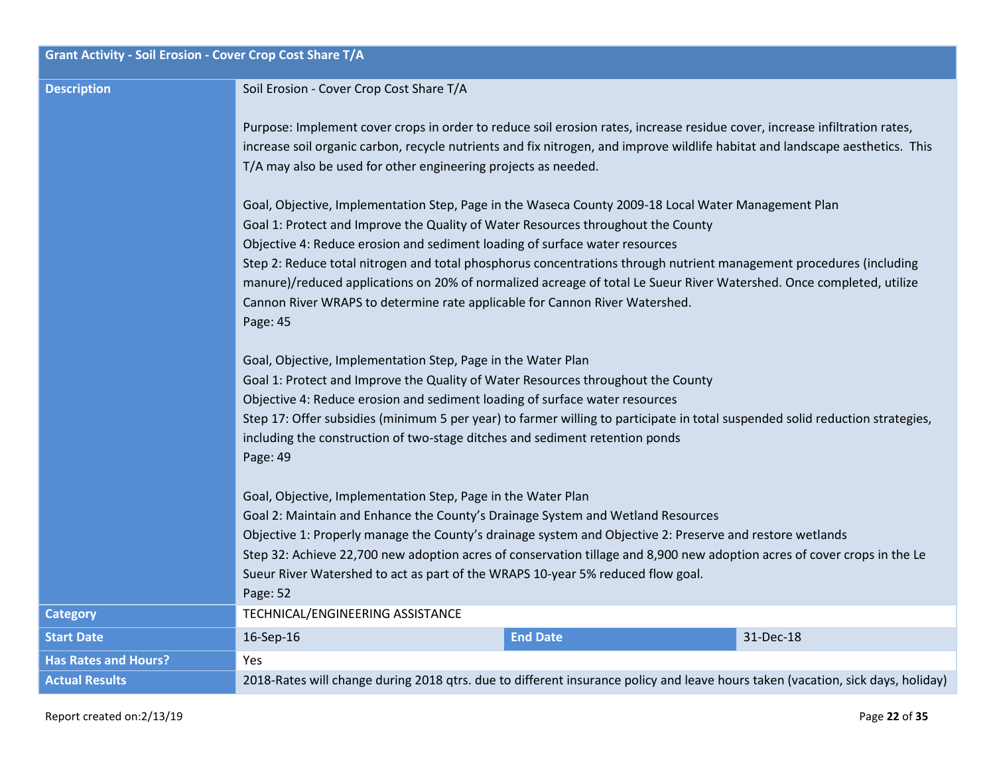| <b>Grant Activity - Soil Erosion - Cover Crop Cost Share T/A</b> |                                                                                                                                                                                                                                                                                                                                                                                                                                                                                        |  |  |
|------------------------------------------------------------------|----------------------------------------------------------------------------------------------------------------------------------------------------------------------------------------------------------------------------------------------------------------------------------------------------------------------------------------------------------------------------------------------------------------------------------------------------------------------------------------|--|--|
| <b>Description</b>                                               | Soil Erosion - Cover Crop Cost Share T/A                                                                                                                                                                                                                                                                                                                                                                                                                                               |  |  |
|                                                                  | Purpose: Implement cover crops in order to reduce soil erosion rates, increase residue cover, increase infiltration rates,<br>increase soil organic carbon, recycle nutrients and fix nitrogen, and improve wildlife habitat and landscape aesthetics. This<br>T/A may also be used for other engineering projects as needed.                                                                                                                                                          |  |  |
|                                                                  | Goal, Objective, Implementation Step, Page in the Waseca County 2009-18 Local Water Management Plan<br>Goal 1: Protect and Improve the Quality of Water Resources throughout the County                                                                                                                                                                                                                                                                                                |  |  |
|                                                                  | Objective 4: Reduce erosion and sediment loading of surface water resources<br>Step 2: Reduce total nitrogen and total phosphorus concentrations through nutrient management procedures (including<br>manure)/reduced applications on 20% of normalized acreage of total Le Sueur River Watershed. Once completed, utilize<br>Cannon River WRAPS to determine rate applicable for Cannon River Watershed.<br>Page: 45                                                                  |  |  |
|                                                                  | Goal, Objective, Implementation Step, Page in the Water Plan<br>Goal 1: Protect and Improve the Quality of Water Resources throughout the County<br>Objective 4: Reduce erosion and sediment loading of surface water resources<br>Step 17: Offer subsidies (minimum 5 per year) to farmer willing to participate in total suspended solid reduction strategies,<br>including the construction of two-stage ditches and sediment retention ponds<br>Page: 49                           |  |  |
|                                                                  | Goal, Objective, Implementation Step, Page in the Water Plan<br>Goal 2: Maintain and Enhance the County's Drainage System and Wetland Resources<br>Objective 1: Properly manage the County's drainage system and Objective 2: Preserve and restore wetlands<br>Step 32: Achieve 22,700 new adoption acres of conservation tillage and 8,900 new adoption acres of cover crops in the Le<br>Sueur River Watershed to act as part of the WRAPS 10-year 5% reduced flow goal.<br>Page: 52 |  |  |
| <b>Category</b>                                                  | TECHNICAL/ENGINEERING ASSISTANCE                                                                                                                                                                                                                                                                                                                                                                                                                                                       |  |  |
| <b>Start Date</b>                                                | <b>End Date</b><br>16-Sep-16<br>31-Dec-18                                                                                                                                                                                                                                                                                                                                                                                                                                              |  |  |
| <b>Has Rates and Hours?</b>                                      | <b>Yes</b>                                                                                                                                                                                                                                                                                                                                                                                                                                                                             |  |  |
| <b>Actual Results</b>                                            | 2018-Rates will change during 2018 qtrs. due to different insurance policy and leave hours taken (vacation, sick days, holiday)                                                                                                                                                                                                                                                                                                                                                        |  |  |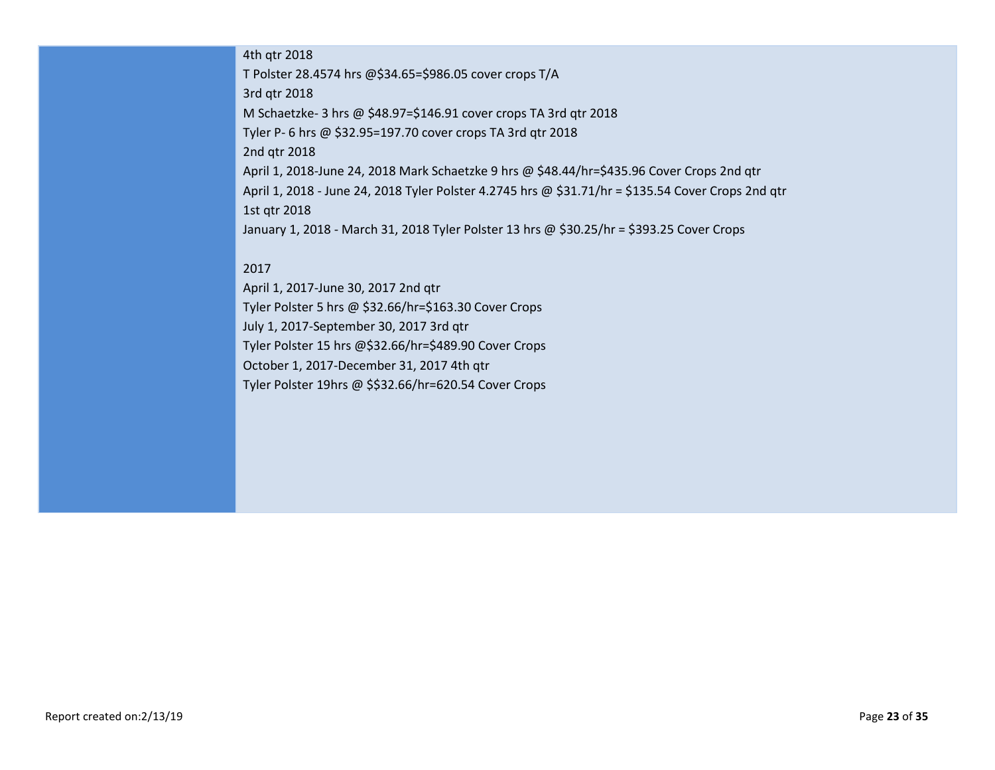### 4th qtr 2018

T Polster 28.4574 hrs @\$34.65=\$986.05 cover crops T/A 3rd qtr 2018 M Schaetzke- 3 hrs @ \$48.97=\$146.91 cover crops TA 3rd qtr 2018 Tyler P- 6 hrs @ \$32.95=197.70 cover crops TA 3rd qtr 2018 2nd qtr 2018 April 1, 2018-June 24, 2018 Mark Schaetzke 9 hrs @ \$48.44/hr=\$435.96 Cover Crops 2nd qtr April 1, 2018 - June 24, 2018 Tyler Polster 4.2745 hrs @ \$31.71/hr = \$135.54 Cover Crops 2nd qtr 1st qtr 2018 January 1, 2018 - March 31, 2018 Tyler Polster 13 hrs @ \$30.25/hr = \$393.25 Cover Crops

### 2017

April 1, 2017-June 30, 2017 2nd qtr Tyler Polster 5 hrs @ \$32.66/hr=\$163.30 Cover Crops July 1, 2017-September 30, 2017 3rd qtr Tyler Polster 15 hrs @\$32.66/hr=\$489.90 Cover Crops October 1, 2017-December 31, 2017 4th qtr Tyler Polster 19hrs @ \$\$32.66/hr=620.54 Cover Crops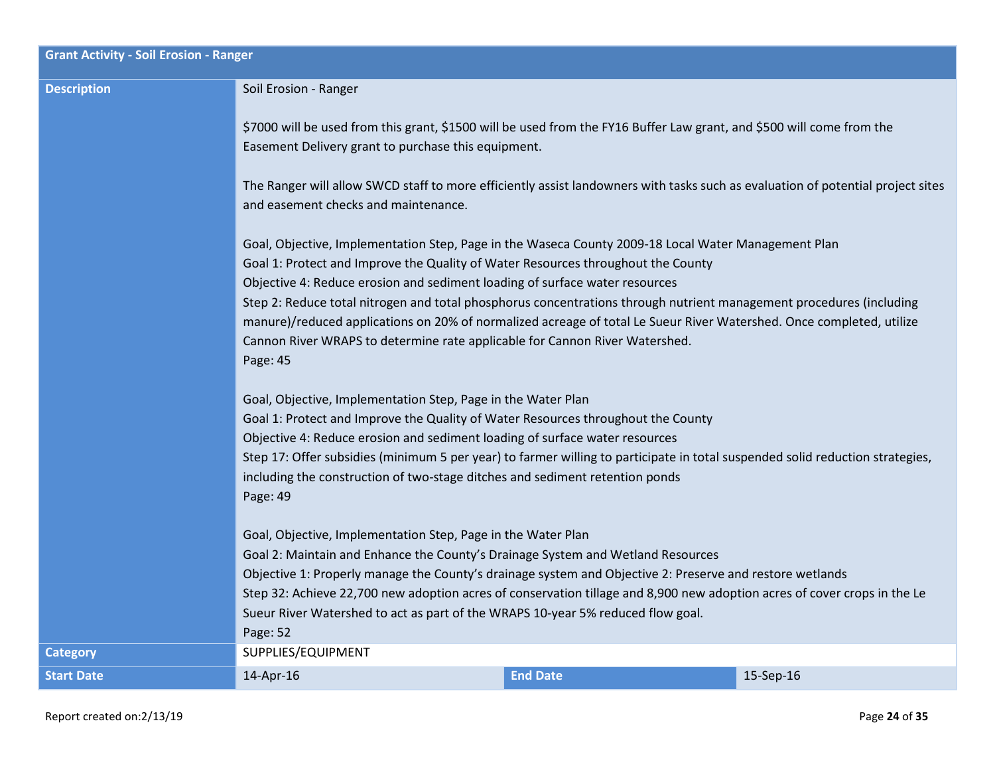| <b>Grant Activity - Soil Erosion - Ranger</b> |                                                                                                                                                                                                                                                                                                                                                                                                                                                                                        |                 |           |  |
|-----------------------------------------------|----------------------------------------------------------------------------------------------------------------------------------------------------------------------------------------------------------------------------------------------------------------------------------------------------------------------------------------------------------------------------------------------------------------------------------------------------------------------------------------|-----------------|-----------|--|
| <b>Description</b>                            | Soil Erosion - Ranger                                                                                                                                                                                                                                                                                                                                                                                                                                                                  |                 |           |  |
|                                               | \$7000 will be used from this grant, \$1500 will be used from the FY16 Buffer Law grant, and \$500 will come from the<br>Easement Delivery grant to purchase this equipment.                                                                                                                                                                                                                                                                                                           |                 |           |  |
|                                               | The Ranger will allow SWCD staff to more efficiently assist landowners with tasks such as evaluation of potential project sites<br>and easement checks and maintenance.                                                                                                                                                                                                                                                                                                                |                 |           |  |
|                                               | Goal, Objective, Implementation Step, Page in the Waseca County 2009-18 Local Water Management Plan<br>Goal 1: Protect and Improve the Quality of Water Resources throughout the County<br>Objective 4: Reduce erosion and sediment loading of surface water resources                                                                                                                                                                                                                 |                 |           |  |
|                                               | Step 2: Reduce total nitrogen and total phosphorus concentrations through nutrient management procedures (including<br>manure)/reduced applications on 20% of normalized acreage of total Le Sueur River Watershed. Once completed, utilize<br>Cannon River WRAPS to determine rate applicable for Cannon River Watershed.<br>Page: 45                                                                                                                                                 |                 |           |  |
|                                               | Goal, Objective, Implementation Step, Page in the Water Plan<br>Goal 1: Protect and Improve the Quality of Water Resources throughout the County<br>Objective 4: Reduce erosion and sediment loading of surface water resources<br>Step 17: Offer subsidies (minimum 5 per year) to farmer willing to participate in total suspended solid reduction strategies,<br>including the construction of two-stage ditches and sediment retention ponds<br>Page: 49                           |                 |           |  |
|                                               | Goal, Objective, Implementation Step, Page in the Water Plan<br>Goal 2: Maintain and Enhance the County's Drainage System and Wetland Resources<br>Objective 1: Properly manage the County's drainage system and Objective 2: Preserve and restore wetlands<br>Step 32: Achieve 22,700 new adoption acres of conservation tillage and 8,900 new adoption acres of cover crops in the Le<br>Sueur River Watershed to act as part of the WRAPS 10-year 5% reduced flow goal.<br>Page: 52 |                 |           |  |
| <b>Category</b>                               | SUPPLIES/EQUIPMENT                                                                                                                                                                                                                                                                                                                                                                                                                                                                     |                 |           |  |
| <b>Start Date</b>                             | 14-Apr-16                                                                                                                                                                                                                                                                                                                                                                                                                                                                              | <b>End Date</b> | 15-Sep-16 |  |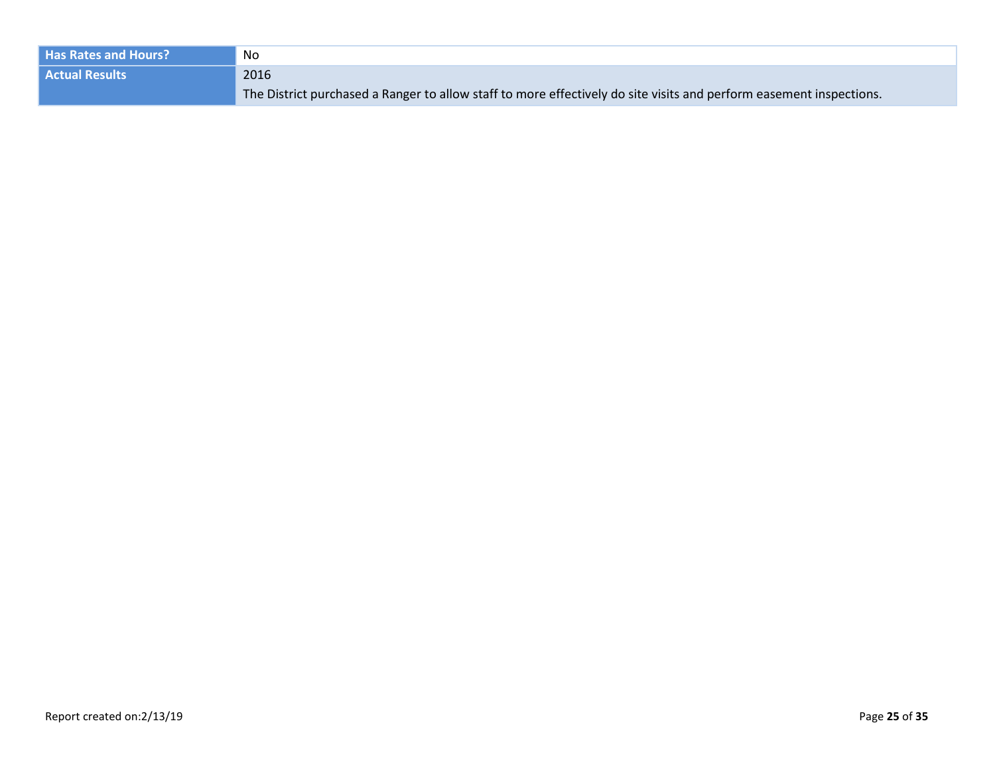| <b>Has Rates and Hours?</b> | No                                                                                                                  |
|-----------------------------|---------------------------------------------------------------------------------------------------------------------|
| <b>Actual Results</b>       | 2016                                                                                                                |
|                             | The District purchased a Ranger to allow staff to more effectively do site visits and perform easement inspections. |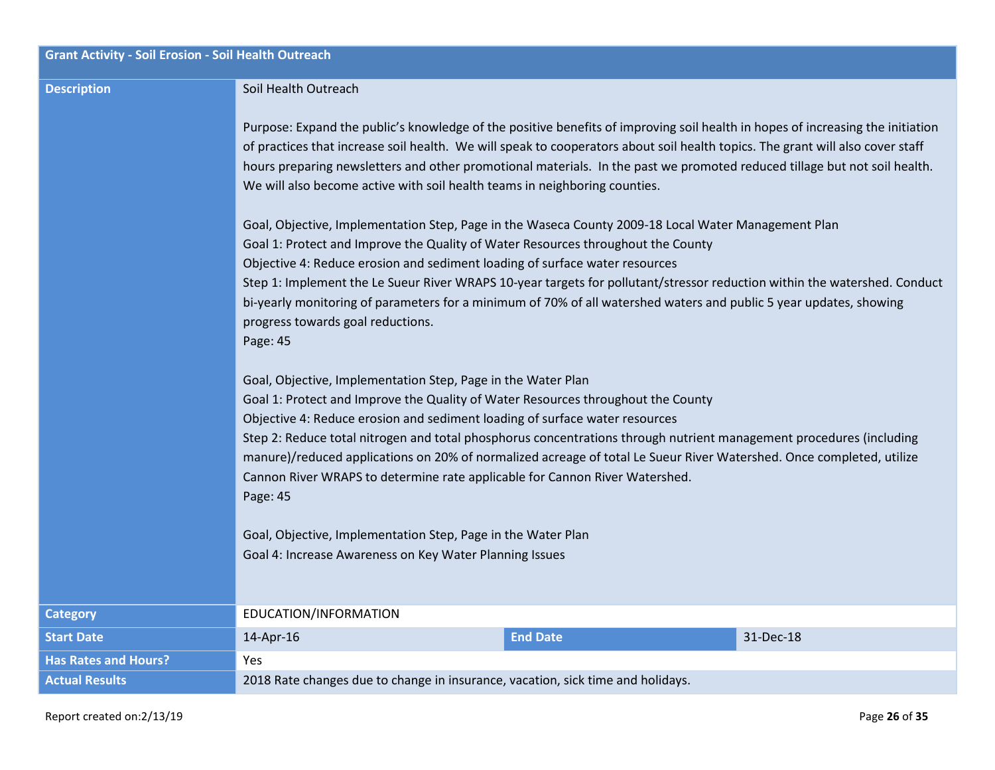| <b>Grant Activity - Soil Erosion - Soil Health Outreach</b> |                                                                                                                                                                                                                                                                                                                                                                                                                                                                                                                                                                           |  |  |
|-------------------------------------------------------------|---------------------------------------------------------------------------------------------------------------------------------------------------------------------------------------------------------------------------------------------------------------------------------------------------------------------------------------------------------------------------------------------------------------------------------------------------------------------------------------------------------------------------------------------------------------------------|--|--|
| <b>Description</b>                                          | Soil Health Outreach                                                                                                                                                                                                                                                                                                                                                                                                                                                                                                                                                      |  |  |
|                                                             | Purpose: Expand the public's knowledge of the positive benefits of improving soil health in hopes of increasing the initiation<br>of practices that increase soil health. We will speak to cooperators about soil health topics. The grant will also cover staff<br>hours preparing newsletters and other promotional materials. In the past we promoted reduced tillage but not soil health.<br>We will also become active with soil health teams in neighboring counties.                                                                                               |  |  |
|                                                             | Goal, Objective, Implementation Step, Page in the Waseca County 2009-18 Local Water Management Plan<br>Goal 1: Protect and Improve the Quality of Water Resources throughout the County                                                                                                                                                                                                                                                                                                                                                                                   |  |  |
|                                                             | Objective 4: Reduce erosion and sediment loading of surface water resources                                                                                                                                                                                                                                                                                                                                                                                                                                                                                               |  |  |
|                                                             | Step 1: Implement the Le Sueur River WRAPS 10-year targets for pollutant/stressor reduction within the watershed. Conduct<br>bi-yearly monitoring of parameters for a minimum of 70% of all watershed waters and public 5 year updates, showing<br>progress towards goal reductions.<br>Page: 45                                                                                                                                                                                                                                                                          |  |  |
|                                                             | Goal, Objective, Implementation Step, Page in the Water Plan<br>Goal 1: Protect and Improve the Quality of Water Resources throughout the County<br>Objective 4: Reduce erosion and sediment loading of surface water resources<br>Step 2: Reduce total nitrogen and total phosphorus concentrations through nutrient management procedures (including<br>manure)/reduced applications on 20% of normalized acreage of total Le Sueur River Watershed. Once completed, utilize<br>Cannon River WRAPS to determine rate applicable for Cannon River Watershed.<br>Page: 45 |  |  |
|                                                             | Goal, Objective, Implementation Step, Page in the Water Plan<br>Goal 4: Increase Awareness on Key Water Planning Issues                                                                                                                                                                                                                                                                                                                                                                                                                                                   |  |  |
|                                                             |                                                                                                                                                                                                                                                                                                                                                                                                                                                                                                                                                                           |  |  |
| <b>Category</b>                                             | EDUCATION/INFORMATION                                                                                                                                                                                                                                                                                                                                                                                                                                                                                                                                                     |  |  |
| <b>Start Date</b>                                           | 31-Dec-18<br>14-Apr-16<br><b>End Date</b>                                                                                                                                                                                                                                                                                                                                                                                                                                                                                                                                 |  |  |
| <b>Has Rates and Hours?</b>                                 | <b>Yes</b>                                                                                                                                                                                                                                                                                                                                                                                                                                                                                                                                                                |  |  |
| <b>Actual Results</b>                                       | 2018 Rate changes due to change in insurance, vacation, sick time and holidays.                                                                                                                                                                                                                                                                                                                                                                                                                                                                                           |  |  |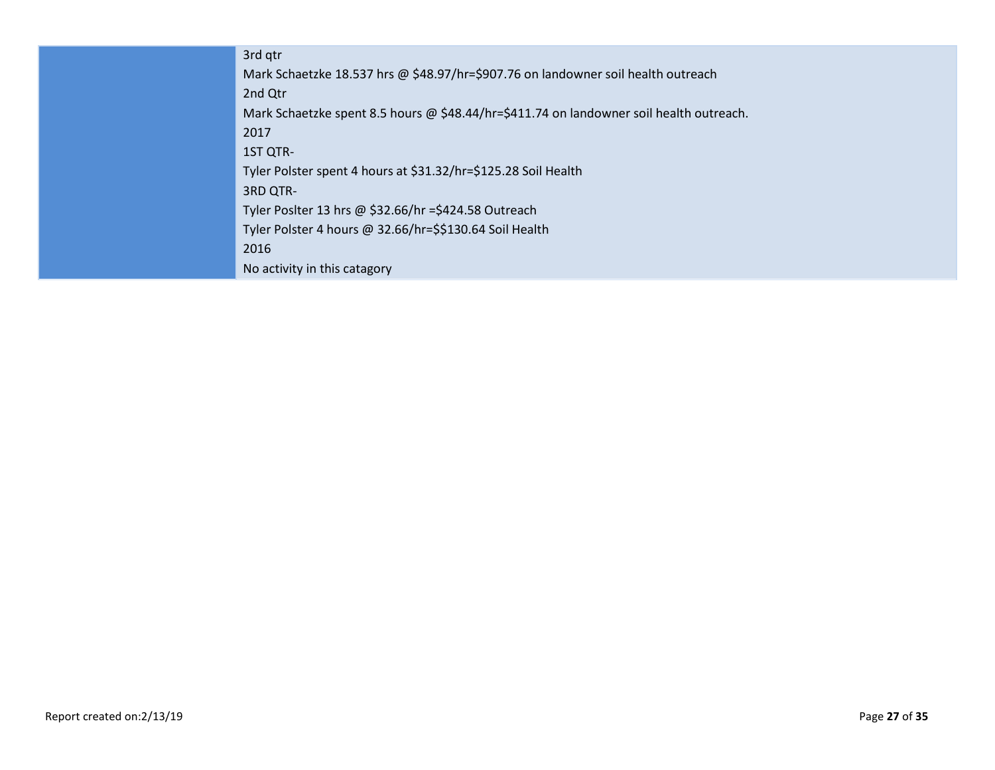3rd qtr Mark Schaetzke 18.537 hrs @ \$48.97/hr=\$907.76 on landowner soil health outreach 2nd Qtr Mark Schaetzke spent 8.5 hours @ \$48.44/hr=\$411.74 on landowner soil health outreach. 2017 1ST QTR-Tyler Polster spent 4 hours at \$31.32/hr=\$125.28 Soil Health 3RD QTR-Tyler Poslter 13 hrs @ \$32.66/hr =\$424.58 Outreach Tyler Polster 4 hours @ 32.66/hr=\$\$130.64 Soil Health 2016 No activity in this catagory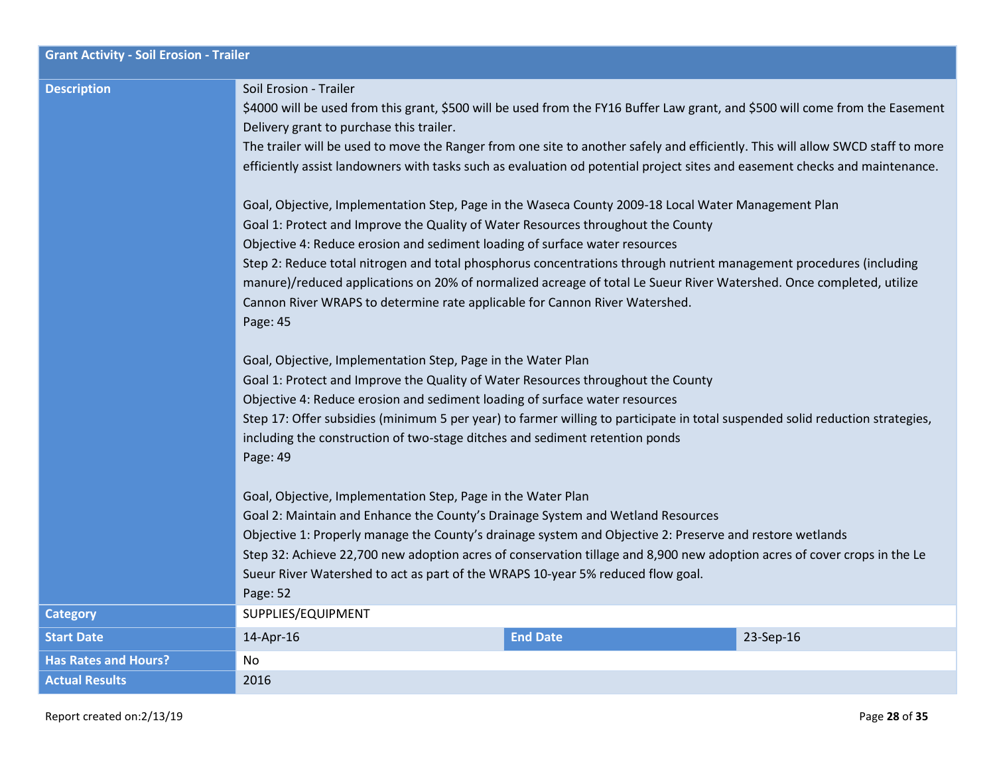| <b>Grant Activity - Soil Erosion - Trailer</b> |                                                                                                                                                                                                                                                                                                                                                                                                                                                                                                                                                                                                                  |                 |           |  |
|------------------------------------------------|------------------------------------------------------------------------------------------------------------------------------------------------------------------------------------------------------------------------------------------------------------------------------------------------------------------------------------------------------------------------------------------------------------------------------------------------------------------------------------------------------------------------------------------------------------------------------------------------------------------|-----------------|-----------|--|
| <b>Description</b>                             | Soil Erosion - Trailer<br>\$4000 will be used from this grant, \$500 will be used from the FY16 Buffer Law grant, and \$500 will come from the Easement<br>Delivery grant to purchase this trailer.<br>The trailer will be used to move the Ranger from one site to another safely and efficiently. This will allow SWCD staff to more<br>efficiently assist landowners with tasks such as evaluation od potential project sites and easement checks and maintenance.                                                                                                                                            |                 |           |  |
|                                                | Goal, Objective, Implementation Step, Page in the Waseca County 2009-18 Local Water Management Plan<br>Goal 1: Protect and Improve the Quality of Water Resources throughout the County<br>Objective 4: Reduce erosion and sediment loading of surface water resources<br>Step 2: Reduce total nitrogen and total phosphorus concentrations through nutrient management procedures (including<br>manure)/reduced applications on 20% of normalized acreage of total Le Sueur River Watershed. Once completed, utilize<br>Cannon River WRAPS to determine rate applicable for Cannon River Watershed.<br>Page: 45 |                 |           |  |
|                                                | Goal, Objective, Implementation Step, Page in the Water Plan<br>Goal 1: Protect and Improve the Quality of Water Resources throughout the County<br>Objective 4: Reduce erosion and sediment loading of surface water resources<br>Step 17: Offer subsidies (minimum 5 per year) to farmer willing to participate in total suspended solid reduction strategies,<br>including the construction of two-stage ditches and sediment retention ponds<br>Page: 49                                                                                                                                                     |                 |           |  |
|                                                | Goal, Objective, Implementation Step, Page in the Water Plan<br>Goal 2: Maintain and Enhance the County's Drainage System and Wetland Resources<br>Objective 1: Properly manage the County's drainage system and Objective 2: Preserve and restore wetlands<br>Step 32: Achieve 22,700 new adoption acres of conservation tillage and 8,900 new adoption acres of cover crops in the Le<br>Sueur River Watershed to act as part of the WRAPS 10-year 5% reduced flow goal.<br>Page: 52                                                                                                                           |                 |           |  |
| <b>Category</b>                                | SUPPLIES/EQUIPMENT                                                                                                                                                                                                                                                                                                                                                                                                                                                                                                                                                                                               |                 |           |  |
| <b>Start Date</b>                              | 14-Apr-16                                                                                                                                                                                                                                                                                                                                                                                                                                                                                                                                                                                                        | <b>End Date</b> | 23-Sep-16 |  |
| <b>Has Rates and Hours?</b>                    | No                                                                                                                                                                                                                                                                                                                                                                                                                                                                                                                                                                                                               |                 |           |  |
| <b>Actual Results</b>                          | 2016                                                                                                                                                                                                                                                                                                                                                                                                                                                                                                                                                                                                             |                 |           |  |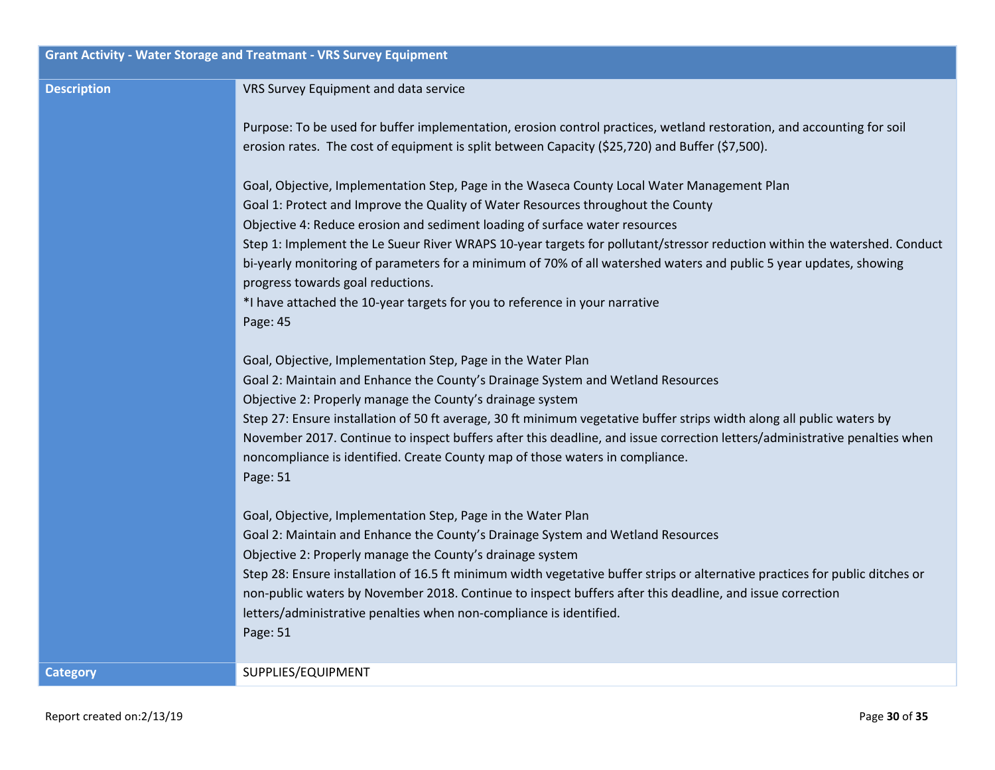| <b>Grant Activity - Water Storage and Treatmant - VRS Survey Equipment</b> |                                                                                                                                                                                                                                                                                                                                                                                                                                                                                                                                                                                                                                                   |  |
|----------------------------------------------------------------------------|---------------------------------------------------------------------------------------------------------------------------------------------------------------------------------------------------------------------------------------------------------------------------------------------------------------------------------------------------------------------------------------------------------------------------------------------------------------------------------------------------------------------------------------------------------------------------------------------------------------------------------------------------|--|
| <b>Description</b>                                                         | VRS Survey Equipment and data service                                                                                                                                                                                                                                                                                                                                                                                                                                                                                                                                                                                                             |  |
|                                                                            | Purpose: To be used for buffer implementation, erosion control practices, wetland restoration, and accounting for soil<br>erosion rates. The cost of equipment is split between Capacity (\$25,720) and Buffer (\$7,500).                                                                                                                                                                                                                                                                                                                                                                                                                         |  |
|                                                                            | Goal, Objective, Implementation Step, Page in the Waseca County Local Water Management Plan<br>Goal 1: Protect and Improve the Quality of Water Resources throughout the County<br>Objective 4: Reduce erosion and sediment loading of surface water resources<br>Step 1: Implement the Le Sueur River WRAPS 10-year targets for pollutant/stressor reduction within the watershed. Conduct<br>bi-yearly monitoring of parameters for a minimum of 70% of all watershed waters and public 5 year updates, showing<br>progress towards goal reductions.<br>*I have attached the 10-year targets for you to reference in your narrative<br>Page: 45 |  |
|                                                                            | Goal, Objective, Implementation Step, Page in the Water Plan<br>Goal 2: Maintain and Enhance the County's Drainage System and Wetland Resources<br>Objective 2: Properly manage the County's drainage system<br>Step 27: Ensure installation of 50 ft average, 30 ft minimum vegetative buffer strips width along all public waters by<br>November 2017. Continue to inspect buffers after this deadline, and issue correction letters/administrative penalties when<br>noncompliance is identified. Create County map of those waters in compliance.<br>Page: 51                                                                                 |  |
|                                                                            | Goal, Objective, Implementation Step, Page in the Water Plan<br>Goal 2: Maintain and Enhance the County's Drainage System and Wetland Resources<br>Objective 2: Properly manage the County's drainage system<br>Step 28: Ensure installation of 16.5 ft minimum width vegetative buffer strips or alternative practices for public ditches or<br>non-public waters by November 2018. Continue to inspect buffers after this deadline, and issue correction<br>letters/administrative penalties when non-compliance is identified.<br>Page: 51                                                                                                     |  |
| <b>Category</b>                                                            | SUPPLIES/EQUIPMENT                                                                                                                                                                                                                                                                                                                                                                                                                                                                                                                                                                                                                                |  |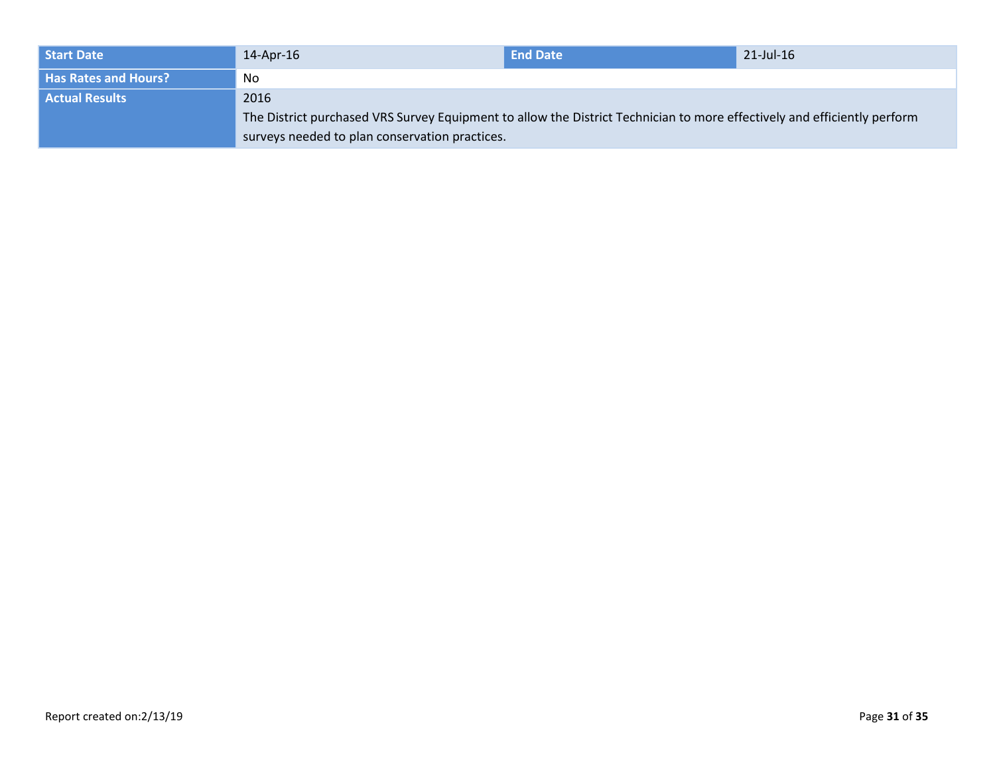| Start Date                  | 14-Apr-16                                                                                                                | <b>End Date</b> | 21-Jul-16 |
|-----------------------------|--------------------------------------------------------------------------------------------------------------------------|-----------------|-----------|
| <b>Has Rates and Hours?</b> | No                                                                                                                       |                 |           |
| <b>Actual Results</b>       | 2016                                                                                                                     |                 |           |
|                             | The District purchased VRS Survey Equipment to allow the District Technician to more effectively and efficiently perform |                 |           |
|                             | surveys needed to plan conservation practices.                                                                           |                 |           |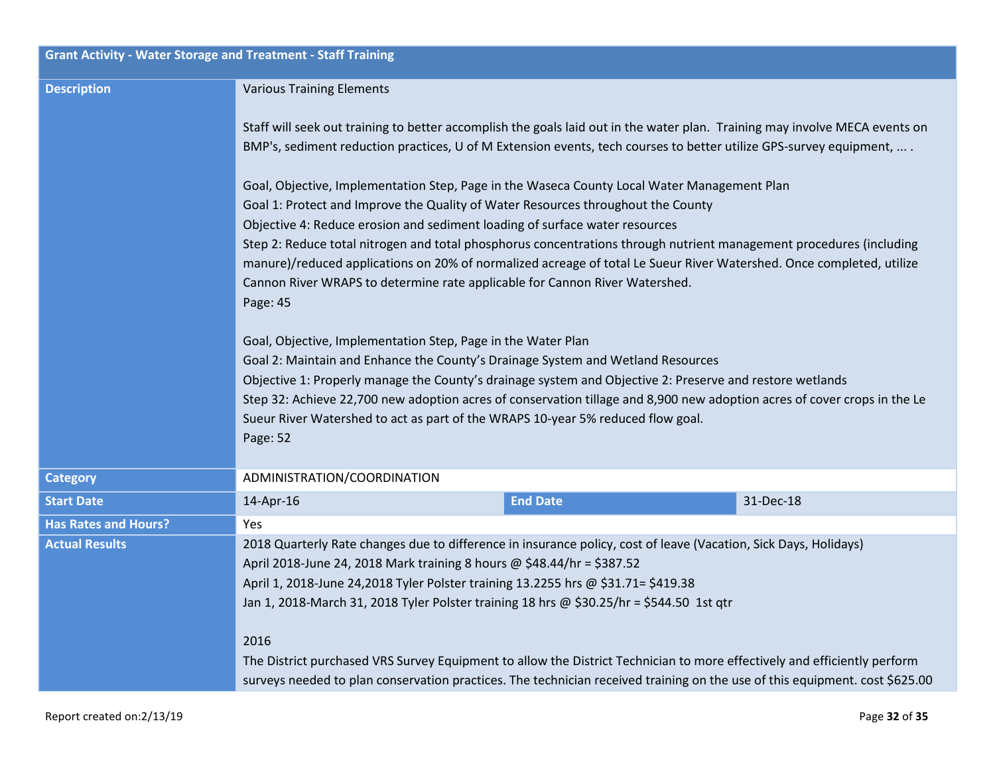| <b>Grant Activity - Water Storage and Treatment - Staff Training</b> |                                                                                                                                                                                                                                                                                                                                                                                                                                                                                                                                                                                                                                                                                                                                                                                                                                                                                                                                                                                                                                                                                        |                 |           |
|----------------------------------------------------------------------|----------------------------------------------------------------------------------------------------------------------------------------------------------------------------------------------------------------------------------------------------------------------------------------------------------------------------------------------------------------------------------------------------------------------------------------------------------------------------------------------------------------------------------------------------------------------------------------------------------------------------------------------------------------------------------------------------------------------------------------------------------------------------------------------------------------------------------------------------------------------------------------------------------------------------------------------------------------------------------------------------------------------------------------------------------------------------------------|-----------------|-----------|
| <b>Description</b>                                                   | <b>Various Training Elements</b>                                                                                                                                                                                                                                                                                                                                                                                                                                                                                                                                                                                                                                                                                                                                                                                                                                                                                                                                                                                                                                                       |                 |           |
|                                                                      | Staff will seek out training to better accomplish the goals laid out in the water plan. Training may involve MECA events on<br>BMP's, sediment reduction practices, U of M Extension events, tech courses to better utilize GPS-survey equipment,  .                                                                                                                                                                                                                                                                                                                                                                                                                                                                                                                                                                                                                                                                                                                                                                                                                                   |                 |           |
|                                                                      | Goal, Objective, Implementation Step, Page in the Waseca County Local Water Management Plan<br>Goal 1: Protect and Improve the Quality of Water Resources throughout the County<br>Objective 4: Reduce erosion and sediment loading of surface water resources<br>Step 2: Reduce total nitrogen and total phosphorus concentrations through nutrient management procedures (including<br>manure)/reduced applications on 20% of normalized acreage of total Le Sueur River Watershed. Once completed, utilize<br>Cannon River WRAPS to determine rate applicable for Cannon River Watershed.<br>Page: 45<br>Goal, Objective, Implementation Step, Page in the Water Plan<br>Goal 2: Maintain and Enhance the County's Drainage System and Wetland Resources<br>Objective 1: Properly manage the County's drainage system and Objective 2: Preserve and restore wetlands<br>Step 32: Achieve 22,700 new adoption acres of conservation tillage and 8,900 new adoption acres of cover crops in the Le<br>Sueur River Watershed to act as part of the WRAPS 10-year 5% reduced flow goal. |                 |           |
|                                                                      | Page: 52                                                                                                                                                                                                                                                                                                                                                                                                                                                                                                                                                                                                                                                                                                                                                                                                                                                                                                                                                                                                                                                                               |                 |           |
| <b>Category</b>                                                      | ADMINISTRATION/COORDINATION                                                                                                                                                                                                                                                                                                                                                                                                                                                                                                                                                                                                                                                                                                                                                                                                                                                                                                                                                                                                                                                            |                 |           |
| <b>Start Date</b>                                                    | 14-Apr-16                                                                                                                                                                                                                                                                                                                                                                                                                                                                                                                                                                                                                                                                                                                                                                                                                                                                                                                                                                                                                                                                              | <b>End Date</b> | 31-Dec-18 |
| <b>Has Rates and Hours?</b>                                          | <b>Yes</b>                                                                                                                                                                                                                                                                                                                                                                                                                                                                                                                                                                                                                                                                                                                                                                                                                                                                                                                                                                                                                                                                             |                 |           |
| <b>Actual Results</b>                                                | 2018 Quarterly Rate changes due to difference in insurance policy, cost of leave (Vacation, Sick Days, Holidays)<br>April 2018-June 24, 2018 Mark training 8 hours @ \$48.44/hr = \$387.52<br>April 1, 2018-June 24,2018 Tyler Polster training 13.2255 hrs @ \$31.71= \$419.38<br>Jan 1, 2018-March 31, 2018 Tyler Polster training 18 hrs @ \$30.25/hr = \$544.50 1st qtr<br>2016<br>The District purchased VRS Survey Equipment to allow the District Technician to more effectively and efficiently perform<br>surveys needed to plan conservation practices. The technician received training on the use of this equipment. cost \$625.00                                                                                                                                                                                                                                                                                                                                                                                                                                         |                 |           |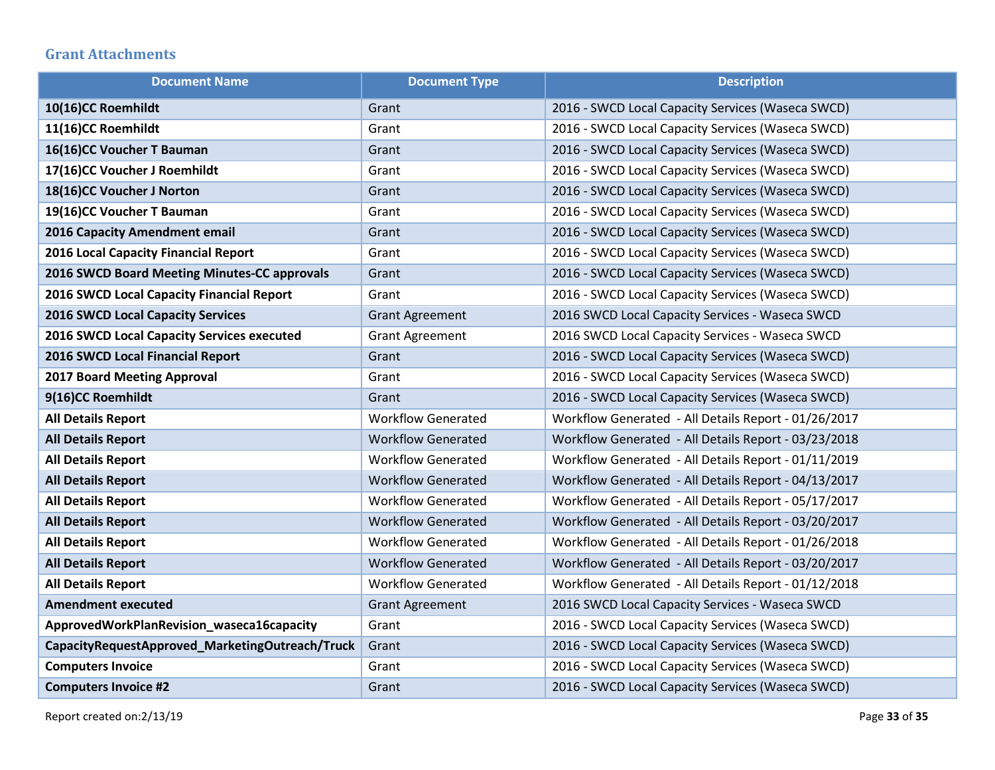## **Grant Attachments**

| <b>Document Name</b>                            | <b>Document Type</b>      | <b>Description</b>                                   |
|-------------------------------------------------|---------------------------|------------------------------------------------------|
| 10(16)CC Roemhildt                              | Grant                     | 2016 - SWCD Local Capacity Services (Waseca SWCD)    |
| 11(16)CC Roemhildt                              | Grant                     | 2016 - SWCD Local Capacity Services (Waseca SWCD)    |
| 16(16)CC Voucher T Bauman                       | Grant                     | 2016 - SWCD Local Capacity Services (Waseca SWCD)    |
| 17(16)CC Voucher J Roemhildt                    | Grant                     | 2016 - SWCD Local Capacity Services (Waseca SWCD)    |
| 18(16)CC Voucher J Norton                       | Grant                     | 2016 - SWCD Local Capacity Services (Waseca SWCD)    |
| 19(16)CC Voucher T Bauman                       | Grant                     | 2016 - SWCD Local Capacity Services (Waseca SWCD)    |
| 2016 Capacity Amendment email                   | Grant                     | 2016 - SWCD Local Capacity Services (Waseca SWCD)    |
| 2016 Local Capacity Financial Report            | Grant                     | 2016 - SWCD Local Capacity Services (Waseca SWCD)    |
| 2016 SWCD Board Meeting Minutes-CC approvals    | Grant                     | 2016 - SWCD Local Capacity Services (Waseca SWCD)    |
| 2016 SWCD Local Capacity Financial Report       | Grant                     | 2016 - SWCD Local Capacity Services (Waseca SWCD)    |
| <b>2016 SWCD Local Capacity Services</b>        | <b>Grant Agreement</b>    | 2016 SWCD Local Capacity Services - Waseca SWCD      |
| 2016 SWCD Local Capacity Services executed      | <b>Grant Agreement</b>    | 2016 SWCD Local Capacity Services - Waseca SWCD      |
| 2016 SWCD Local Financial Report                | Grant                     | 2016 - SWCD Local Capacity Services (Waseca SWCD)    |
| <b>2017 Board Meeting Approval</b>              | Grant                     | 2016 - SWCD Local Capacity Services (Waseca SWCD)    |
| 9(16)CC Roemhildt                               | Grant                     | 2016 - SWCD Local Capacity Services (Waseca SWCD)    |
| <b>All Details Report</b>                       | <b>Workflow Generated</b> | Workflow Generated - All Details Report - 01/26/2017 |
| <b>All Details Report</b>                       | <b>Workflow Generated</b> | Workflow Generated - All Details Report - 03/23/2018 |
| <b>All Details Report</b>                       | <b>Workflow Generated</b> | Workflow Generated - All Details Report - 01/11/2019 |
| <b>All Details Report</b>                       | <b>Workflow Generated</b> | Workflow Generated - All Details Report - 04/13/2017 |
| <b>All Details Report</b>                       | <b>Workflow Generated</b> | Workflow Generated - All Details Report - 05/17/2017 |
| <b>All Details Report</b>                       | <b>Workflow Generated</b> | Workflow Generated - All Details Report - 03/20/2017 |
| <b>All Details Report</b>                       | <b>Workflow Generated</b> | Workflow Generated - All Details Report - 01/26/2018 |
| <b>All Details Report</b>                       | <b>Workflow Generated</b> | Workflow Generated - All Details Report - 03/20/2017 |
| <b>All Details Report</b>                       | <b>Workflow Generated</b> | Workflow Generated - All Details Report - 01/12/2018 |
| <b>Amendment executed</b>                       | <b>Grant Agreement</b>    | 2016 SWCD Local Capacity Services - Waseca SWCD      |
| ApprovedWorkPlanRevision_waseca16capacity       | Grant                     | 2016 - SWCD Local Capacity Services (Waseca SWCD)    |
| CapacityRequestApproved_MarketingOutreach/Truck | Grant                     | 2016 - SWCD Local Capacity Services (Waseca SWCD)    |
| <b>Computers Invoice</b>                        | Grant                     | 2016 - SWCD Local Capacity Services (Waseca SWCD)    |
| <b>Computers Invoice #2</b>                     | Grant                     | 2016 - SWCD Local Capacity Services (Waseca SWCD)    |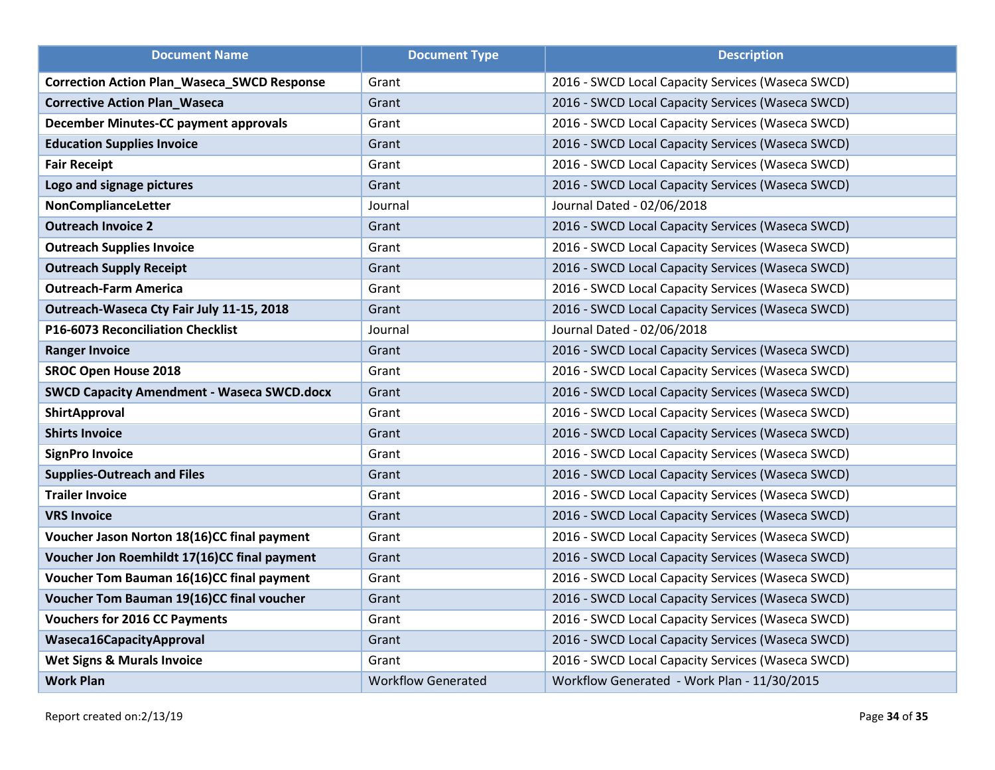| <b>Document Name</b>                               | <b>Document Type</b>      | <b>Description</b>                                |
|----------------------------------------------------|---------------------------|---------------------------------------------------|
| <b>Correction Action Plan_Waseca_SWCD Response</b> | Grant                     | 2016 - SWCD Local Capacity Services (Waseca SWCD) |
| <b>Corrective Action Plan_Waseca</b>               | Grant                     | 2016 - SWCD Local Capacity Services (Waseca SWCD) |
| December Minutes-CC payment approvals              | Grant                     | 2016 - SWCD Local Capacity Services (Waseca SWCD) |
| <b>Education Supplies Invoice</b>                  | Grant                     | 2016 - SWCD Local Capacity Services (Waseca SWCD) |
| <b>Fair Receipt</b>                                | Grant                     | 2016 - SWCD Local Capacity Services (Waseca SWCD) |
| Logo and signage pictures                          | Grant                     | 2016 - SWCD Local Capacity Services (Waseca SWCD) |
| NonComplianceLetter                                | Journal                   | Journal Dated - 02/06/2018                        |
| <b>Outreach Invoice 2</b>                          | Grant                     | 2016 - SWCD Local Capacity Services (Waseca SWCD) |
| <b>Outreach Supplies Invoice</b>                   | Grant                     | 2016 - SWCD Local Capacity Services (Waseca SWCD) |
| <b>Outreach Supply Receipt</b>                     | Grant                     | 2016 - SWCD Local Capacity Services (Waseca SWCD) |
| <b>Outreach-Farm America</b>                       | Grant                     | 2016 - SWCD Local Capacity Services (Waseca SWCD) |
| Outreach-Waseca Cty Fair July 11-15, 2018          | Grant                     | 2016 - SWCD Local Capacity Services (Waseca SWCD) |
| P16-6073 Reconciliation Checklist                  | Journal                   | Journal Dated - 02/06/2018                        |
| <b>Ranger Invoice</b>                              | Grant                     | 2016 - SWCD Local Capacity Services (Waseca SWCD) |
| <b>SROC Open House 2018</b>                        | Grant                     | 2016 - SWCD Local Capacity Services (Waseca SWCD) |
| <b>SWCD Capacity Amendment - Waseca SWCD.docx</b>  | Grant                     | 2016 - SWCD Local Capacity Services (Waseca SWCD) |
| ShirtApproval                                      | Grant                     | 2016 - SWCD Local Capacity Services (Waseca SWCD) |
| <b>Shirts Invoice</b>                              | Grant                     | 2016 - SWCD Local Capacity Services (Waseca SWCD) |
| <b>SignPro Invoice</b>                             | Grant                     | 2016 - SWCD Local Capacity Services (Waseca SWCD) |
| <b>Supplies-Outreach and Files</b>                 | Grant                     | 2016 - SWCD Local Capacity Services (Waseca SWCD) |
| <b>Trailer Invoice</b>                             | Grant                     | 2016 - SWCD Local Capacity Services (Waseca SWCD) |
| <b>VRS Invoice</b>                                 | Grant                     | 2016 - SWCD Local Capacity Services (Waseca SWCD) |
| Voucher Jason Norton 18(16)CC final payment        | Grant                     | 2016 - SWCD Local Capacity Services (Waseca SWCD) |
| Voucher Jon Roemhildt 17(16)CC final payment       | Grant                     | 2016 - SWCD Local Capacity Services (Waseca SWCD) |
| Voucher Tom Bauman 16(16)CC final payment          | Grant                     | 2016 - SWCD Local Capacity Services (Waseca SWCD) |
| Voucher Tom Bauman 19(16)CC final voucher          | Grant                     | 2016 - SWCD Local Capacity Services (Waseca SWCD) |
| <b>Vouchers for 2016 CC Payments</b>               | Grant                     | 2016 - SWCD Local Capacity Services (Waseca SWCD) |
| Waseca16CapacityApproval                           | Grant                     | 2016 - SWCD Local Capacity Services (Waseca SWCD) |
| <b>Wet Signs &amp; Murals Invoice</b>              | Grant                     | 2016 - SWCD Local Capacity Services (Waseca SWCD) |
| <b>Work Plan</b>                                   | <b>Workflow Generated</b> | Workflow Generated - Work Plan - 11/30/2015       |